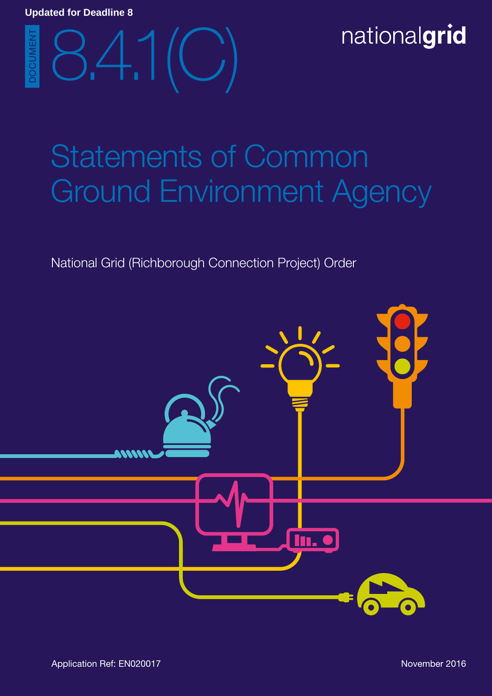# 8.4.1(C) DOCUMENT

# Statements of Common Ground Environment Agency

# National Grid (Richborough Connection Project) Order

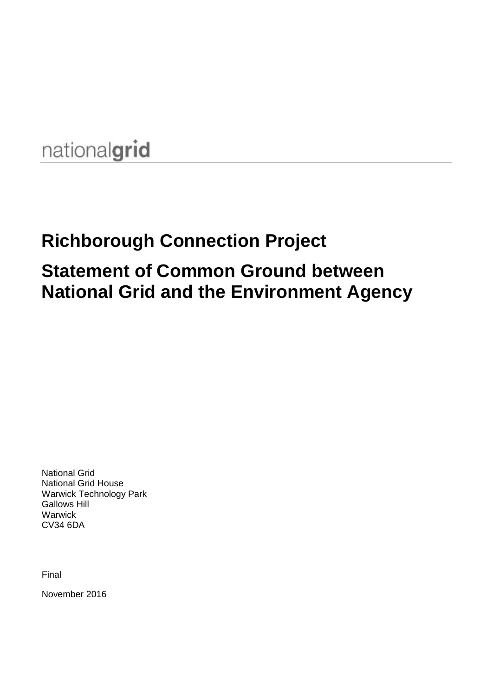# nationalgrid

# **Richborough Connection Project Statement of Common Ground between National Grid and the Environment Agency**

National Grid National Grid House Warwick Technology Park Gallows Hill **Warwick** CV34 6DA

Final

November 2016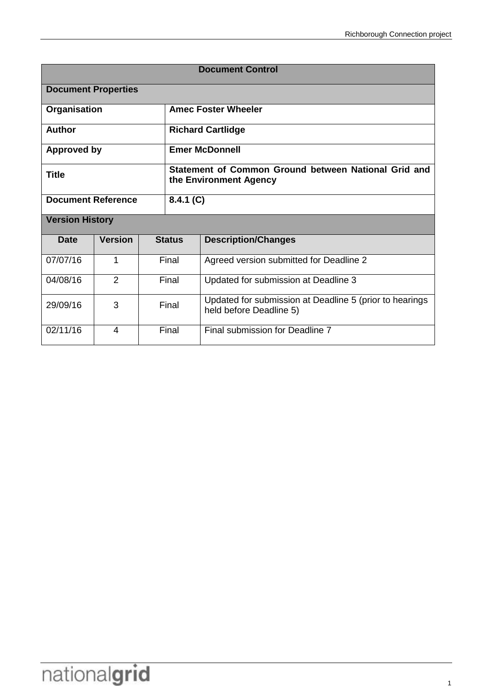| <b>Document Control</b>   |                            |                                                                                |                                      |                                                                                    |  |  |
|---------------------------|----------------------------|--------------------------------------------------------------------------------|--------------------------------------|------------------------------------------------------------------------------------|--|--|
|                           | <b>Document Properties</b> |                                                                                |                                      |                                                                                    |  |  |
| Organisation              |                            |                                                                                | <b>Amec Foster Wheeler</b>           |                                                                                    |  |  |
| <b>Author</b>             |                            |                                                                                | <b>Richard Cartlidge</b>             |                                                                                    |  |  |
| <b>Approved by</b>        |                            |                                                                                | <b>Emer McDonnell</b>                |                                                                                    |  |  |
| <b>Title</b>              |                            | Statement of Common Ground between National Grid and<br>the Environment Agency |                                      |                                                                                    |  |  |
| <b>Document Reference</b> |                            |                                                                                | 8.4.1 (C)                            |                                                                                    |  |  |
| <b>Version History</b>    |                            |                                                                                |                                      |                                                                                    |  |  |
| <b>Date</b>               | <b>Version</b>             |                                                                                | <b>Status</b>                        | <b>Description/Changes</b>                                                         |  |  |
| 07/07/16                  | 1                          |                                                                                | Final                                | Agreed version submitted for Deadline 2                                            |  |  |
| 2<br>04/08/16             |                            | Final                                                                          | Updated for submission at Deadline 3 |                                                                                    |  |  |
| 29/09/16                  | 3                          |                                                                                | Final                                | Updated for submission at Deadline 5 (prior to hearings<br>held before Deadline 5) |  |  |
| 02/11/16                  | 4                          |                                                                                | Final                                | Final submission for Deadline 7                                                    |  |  |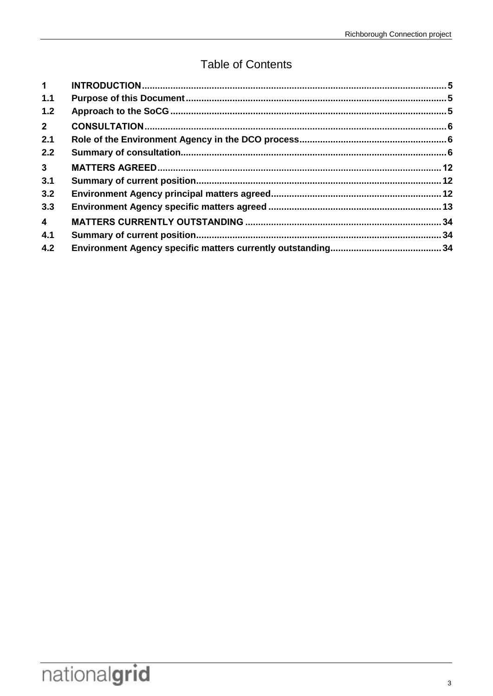# **Table of Contents**

| $\mathbf 1$    |  |
|----------------|--|
| 1.1            |  |
| 1.2            |  |
| $2^{\circ}$    |  |
| 2.1            |  |
| 2.2            |  |
| 3 <sup>7</sup> |  |
| 3.1            |  |
| 3.2            |  |
| 3.3            |  |
| $\overline{4}$ |  |
| 4.1            |  |
| 4.2            |  |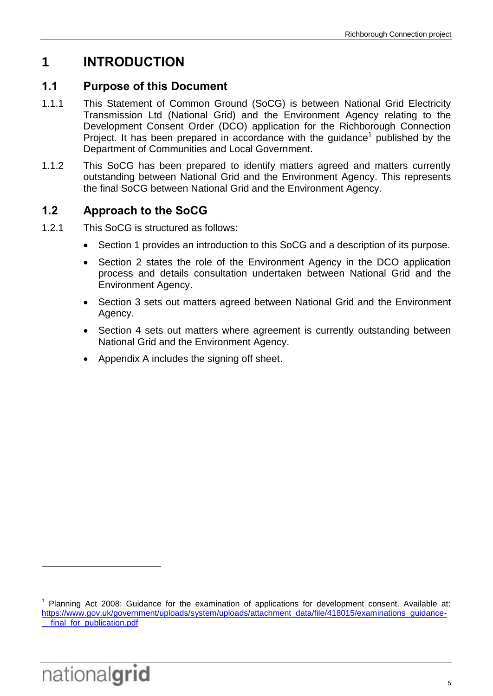# <span id="page-8-0"></span>**1 INTRODUCTION**

## <span id="page-8-1"></span>**1.1 Purpose of this Document**

- 1.1.1 This Statement of Common Ground (SoCG) is between National Grid Electricity Transmission Ltd (National Grid) and the Environment Agency relating to the Development Consent Order (DCO) application for the Richborough Connection Project. It has been prepared in accordance with the guidance<sup>1</sup> published by the Department of Communities and Local Government.
- 1.1.2 This SoCG has been prepared to identify matters agreed and matters currently outstanding between National Grid and the Environment Agency. This represents the final SoCG between National Grid and the Environment Agency.

# <span id="page-8-2"></span>**1.2 Approach to the SoCG**

- 1.2.1 This SoCG is structured as follows:
	- Section 1 provides an introduction to this SoCG and a description of its purpose.
	- Section 2 states the role of the Environment Agency in the DCO application process and details consultation undertaken between National Grid and the Environment Agency.
	- Section 3 sets out matters agreed between National Grid and the Environment Agency.
	- Section 4 sets out matters where agreement is currently outstanding between National Grid and the Environment Agency.
	- Appendix A includes the signing off sheet.

<sup>1</sup> Planning Act 2008: Guidance for the examination of applications for development consent. Available at: [https://www.gov.uk/government/uploads/system/uploads/attachment\\_data/file/418015/examinations\\_guidance](https://www.gov.uk/government/uploads/system/uploads/attachment_data/file/418015/examinations_guidance-__final_for_publication.pdf) final for publication.pdf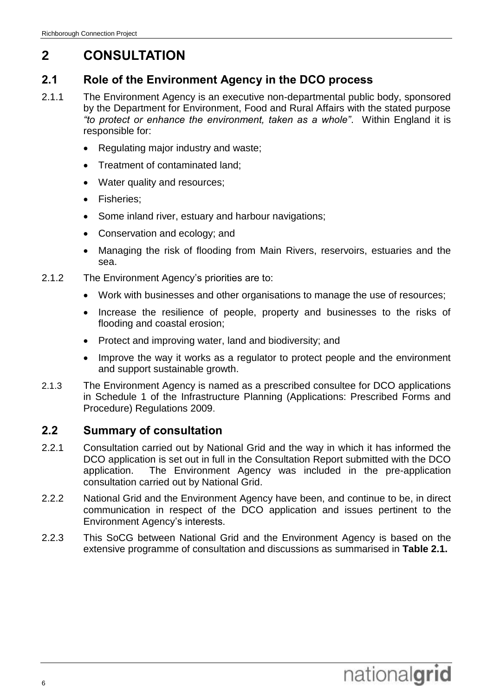# <span id="page-9-0"></span>**2 CONSULTATION**

## <span id="page-9-1"></span>**2.1 Role of the Environment Agency in the DCO process**

- 2.1.1 The Environment Agency is an executive non-departmental public body, sponsored by the Department for Environment, Food and Rural Affairs with the stated purpose *"to protect or enhance the environment, taken as a whole"*. Within England it is responsible for:
	- Regulating major industry and waste;
	- Treatment of contaminated land;
	- Water quality and resources;
	- Fisheries;
	- Some inland river, estuary and harbour navigations;
	- Conservation and ecology; and
	- Managing the risk of flooding from Main Rivers, reservoirs, estuaries and the sea.
- 2.1.2 The Environment Agency's priorities are to:
	- Work with businesses and other organisations to manage the use of resources;
	- Increase the resilience of people, property and businesses to the risks of flooding and coastal erosion;
	- Protect and improving water, land and biodiversity; and
	- Improve the way it works as a regulator to protect people and the environment and support sustainable growth.
- 2.1.3 The Environment Agency is named as a prescribed consultee for DCO applications in Schedule 1 of the [Infrastructure Planning \(Applications: Prescribed Forms and](http://www.legislation.gov.uk/uksi/2009/2264/contents/made)  [Procedure\) Regulations 2009](http://www.legislation.gov.uk/uksi/2009/2264/contents/made).

## <span id="page-9-2"></span>**2.2 Summary of consultation**

- 2.2.1 Consultation carried out by National Grid and the way in which it has informed the DCO application is set out in full in the Consultation Report submitted with the DCO application. The Environment Agency was included in the pre-application consultation carried out by National Grid.
- 2.2.2 National Grid and the Environment Agency have been, and continue to be, in direct communication in respect of the DCO application and issues pertinent to the Environment Agency's interests.
- 2.2.3 This SoCG between National Grid and the Environment Agency is based on the extensive programme of consultation and discussions as summarised in **Table 2.1.**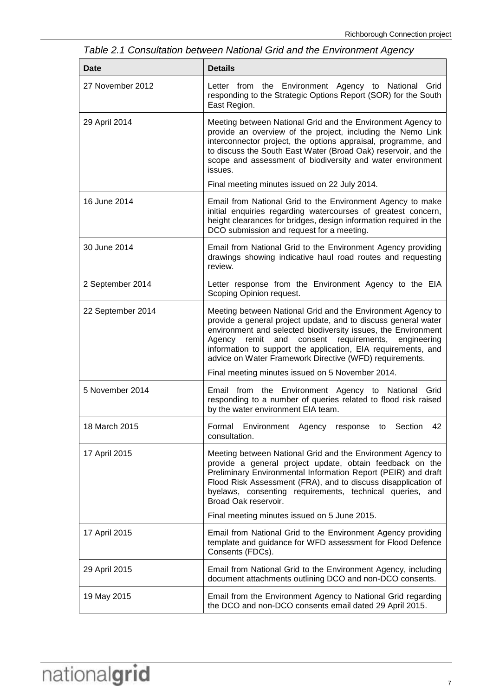**Date Details** 27 November 2012 Letter from the Environment Agency to National Grid responding to the Strategic Options Report (SOR) for the South East Region. 29 April 2014 Meeting between National Grid and the Environment Agency to provide an overview of the project, including the Nemo Link interconnector project, the options appraisal, programme, and to discuss the South East Water (Broad Oak) reservoir, and the scope and assessment of biodiversity and water environment issues. Final meeting minutes issued on 22 July 2014. 16 June 2014 Email from National Grid to the Environment Agency to make initial enquiries regarding watercourses of greatest concern, height clearances for bridges, design information required in the DCO submission and request for a meeting. 30 June 2014 Email from National Grid to the Environment Agency providing drawings showing indicative haul road routes and requesting review. 2 September 2014 Letter response from the Environment Agency to the EIA Scoping Opinion request. 22 September 2014 Meeting between National Grid and the Environment Agency to provide a general project update, and to discuss general water environment and selected biodiversity issues, the Environment Agency remit and consent requirements, engineering information to support the application, EIA requirements, and advice on Water Framework Directive (WFD) requirements. Final meeting minutes issued on 5 November 2014. 5 November 2014 Email from the Environment Agency to National Grid responding to a number of queries related to flood risk raised by the water environment EIA team. 18 March 2015 Formal Environment Agency response to Section 42 consultation. 17 April 2015 Meeting between National Grid and the Environment Agency to provide a general project update, obtain feedback on the Preliminary Environmental Information Report (PEIR) and draft Flood Risk Assessment (FRA), and to discuss disapplication of byelaws, consenting requirements, technical queries, and Broad Oak reservoir. Final meeting minutes issued on 5 June 2015. 17 April 2015 Email from National Grid to the Environment Agency providing template and guidance for WFD assessment for Flood Defence Consents (FDCs). 29 April 2015 Email from National Grid to the Environment Agency, including document attachments outlining DCO and non-DCO consents.

19 May 2015 Email from the Environment Agency to National Grid regarding

the DCO and non-DCO consents email dated 29 April 2015.

*Table 2.1 Consultation between National Grid and the Environment Agency*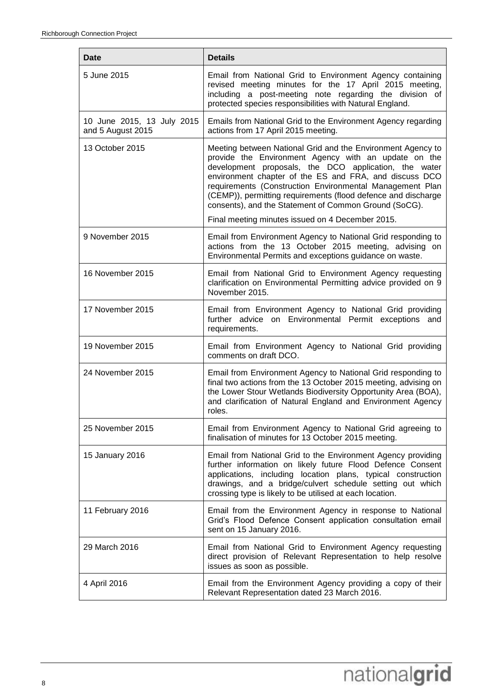| Date                                            | <b>Details</b>                                                                                                                                                                                                                                                                                                                                                                                                               |
|-------------------------------------------------|------------------------------------------------------------------------------------------------------------------------------------------------------------------------------------------------------------------------------------------------------------------------------------------------------------------------------------------------------------------------------------------------------------------------------|
| 5 June 2015                                     | Email from National Grid to Environment Agency containing<br>revised meeting minutes for the 17 April 2015 meeting,<br>including a post-meeting note regarding the division of<br>protected species responsibilities with Natural England.                                                                                                                                                                                   |
| 10 June 2015, 13 July 2015<br>and 5 August 2015 | Emails from National Grid to the Environment Agency regarding<br>actions from 17 April 2015 meeting.                                                                                                                                                                                                                                                                                                                         |
| 13 October 2015                                 | Meeting between National Grid and the Environment Agency to<br>provide the Environment Agency with an update on the<br>development proposals, the DCO application, the water<br>environment chapter of the ES and FRA, and discuss DCO<br>requirements (Construction Environmental Management Plan<br>(CEMP)), permitting requirements (flood defence and discharge<br>consents), and the Statement of Common Ground (SoCG). |
|                                                 | Final meeting minutes issued on 4 December 2015.                                                                                                                                                                                                                                                                                                                                                                             |
| 9 November 2015                                 | Email from Environment Agency to National Grid responding to<br>actions from the 13 October 2015 meeting, advising on<br>Environmental Permits and exceptions guidance on waste.                                                                                                                                                                                                                                             |
| 16 November 2015                                | Email from National Grid to Environment Agency requesting<br>clarification on Environmental Permitting advice provided on 9<br>November 2015.                                                                                                                                                                                                                                                                                |
| 17 November 2015                                | Email from Environment Agency to National Grid providing<br>further advice on Environmental Permit exceptions and<br>requirements.                                                                                                                                                                                                                                                                                           |
| 19 November 2015                                | Email from Environment Agency to National Grid providing<br>comments on draft DCO.                                                                                                                                                                                                                                                                                                                                           |
| 24 November 2015                                | Email from Environment Agency to National Grid responding to<br>final two actions from the 13 October 2015 meeting, advising on<br>the Lower Stour Wetlands Biodiversity Opportunity Area (BOA),<br>and clarification of Natural England and Environment Agency<br>roles.                                                                                                                                                    |
| 25 November 2015                                | Email from Environment Agency to National Grid agreeing to<br>finalisation of minutes for 13 October 2015 meeting.                                                                                                                                                                                                                                                                                                           |
| 15 January 2016                                 | Email from National Grid to the Environment Agency providing<br>further information on likely future Flood Defence Consent<br>applications, including location plans, typical construction<br>drawings, and a bridge/culvert schedule setting out which<br>crossing type is likely to be utilised at each location.                                                                                                          |
| 11 February 2016                                | Email from the Environment Agency in response to National<br>Grid's Flood Defence Consent application consultation email<br>sent on 15 January 2016.                                                                                                                                                                                                                                                                         |
| 29 March 2016                                   | Email from National Grid to Environment Agency requesting<br>direct provision of Relevant Representation to help resolve<br>issues as soon as possible.                                                                                                                                                                                                                                                                      |
| 4 April 2016                                    | Email from the Environment Agency providing a copy of their<br>Relevant Representation dated 23 March 2016.                                                                                                                                                                                                                                                                                                                  |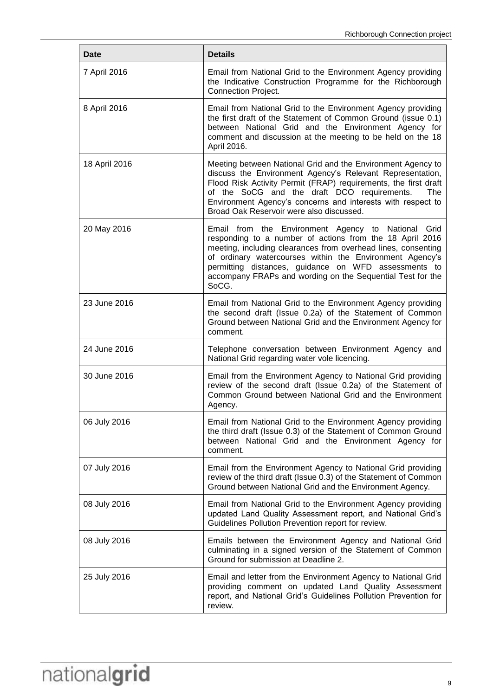| Date          | <b>Details</b>                                                                                                                                                                                                                                                                                                                                                             |
|---------------|----------------------------------------------------------------------------------------------------------------------------------------------------------------------------------------------------------------------------------------------------------------------------------------------------------------------------------------------------------------------------|
| 7 April 2016  | Email from National Grid to the Environment Agency providing<br>the Indicative Construction Programme for the Richborough<br><b>Connection Project.</b>                                                                                                                                                                                                                    |
| 8 April 2016  | Email from National Grid to the Environment Agency providing<br>the first draft of the Statement of Common Ground (issue 0.1)<br>between National Grid and the Environment Agency for<br>comment and discussion at the meeting to be held on the 18<br>April 2016.                                                                                                         |
| 18 April 2016 | Meeting between National Grid and the Environment Agency to<br>discuss the Environment Agency's Relevant Representation,<br>Flood Risk Activity Permit (FRAP) requirements, the first draft<br>of the SoCG and the draft DCO requirements.<br>The<br>Environment Agency's concerns and interests with respect to<br>Broad Oak Reservoir were also discussed.               |
| 20 May 2016   | Email from the Environment Agency to National Grid<br>responding to a number of actions from the 18 April 2016<br>meeting, including clearances from overhead lines, consenting<br>of ordinary watercourses within the Environment Agency's<br>permitting distances, guidance on WFD assessments to<br>accompany FRAPs and wording on the Sequential Test for the<br>SoCG. |
| 23 June 2016  | Email from National Grid to the Environment Agency providing<br>the second draft (Issue 0.2a) of the Statement of Common<br>Ground between National Grid and the Environment Agency for<br>comment.                                                                                                                                                                        |
| 24 June 2016  | Telephone conversation between Environment Agency and<br>National Grid regarding water vole licencing.                                                                                                                                                                                                                                                                     |
| 30 June 2016  | Email from the Environment Agency to National Grid providing<br>review of the second draft (Issue 0.2a) of the Statement of<br>Common Ground between National Grid and the Environment<br>Agency.                                                                                                                                                                          |
| 06 July 2016  | Email from National Grid to the Environment Agency providing<br>the third draft (Issue 0.3) of the Statement of Common Ground<br>between National Grid and the Environment Agency for<br>comment.                                                                                                                                                                          |
| 07 July 2016  | Email from the Environment Agency to National Grid providing<br>review of the third draft (Issue 0.3) of the Statement of Common<br>Ground between National Grid and the Environment Agency.                                                                                                                                                                               |
| 08 July 2016  | Email from National Grid to the Environment Agency providing<br>updated Land Quality Assessment report, and National Grid's<br>Guidelines Pollution Prevention report for review.                                                                                                                                                                                          |
| 08 July 2016  | Emails between the Environment Agency and National Grid<br>culminating in a signed version of the Statement of Common<br>Ground for submission at Deadline 2.                                                                                                                                                                                                              |
| 25 July 2016  | Email and letter from the Environment Agency to National Grid<br>providing comment on updated Land Quality Assessment<br>report, and National Grid's Guidelines Pollution Prevention for<br>review.                                                                                                                                                                        |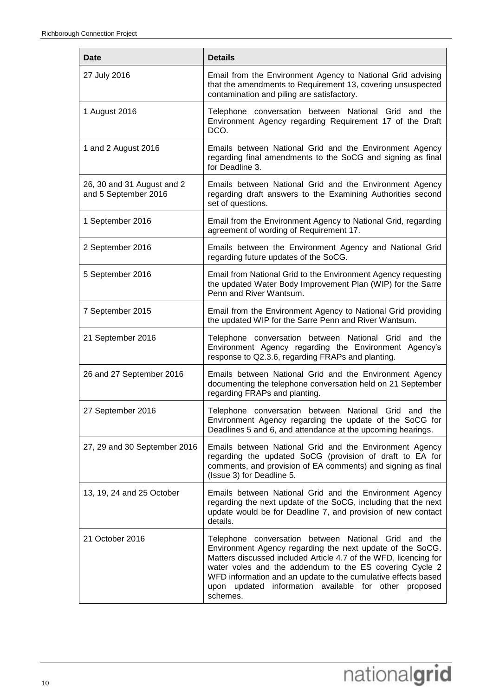| Date                                               | <b>Details</b>                                                                                                                                                                                                                                                                                                                                                                            |
|----------------------------------------------------|-------------------------------------------------------------------------------------------------------------------------------------------------------------------------------------------------------------------------------------------------------------------------------------------------------------------------------------------------------------------------------------------|
| 27 July 2016                                       | Email from the Environment Agency to National Grid advising<br>that the amendments to Requirement 13, covering unsuspected<br>contamination and piling are satisfactory.                                                                                                                                                                                                                  |
| 1 August 2016                                      | Telephone conversation between National Grid and the<br>Environment Agency regarding Requirement 17 of the Draft<br>DCO.                                                                                                                                                                                                                                                                  |
| 1 and 2 August 2016                                | Emails between National Grid and the Environment Agency<br>regarding final amendments to the SoCG and signing as final<br>for Deadline 3.                                                                                                                                                                                                                                                 |
| 26, 30 and 31 August and 2<br>and 5 September 2016 | Emails between National Grid and the Environment Agency<br>regarding draft answers to the Examining Authorities second<br>set of questions.                                                                                                                                                                                                                                               |
| 1 September 2016                                   | Email from the Environment Agency to National Grid, regarding<br>agreement of wording of Requirement 17.                                                                                                                                                                                                                                                                                  |
| 2 September 2016                                   | Emails between the Environment Agency and National Grid<br>regarding future updates of the SoCG.                                                                                                                                                                                                                                                                                          |
| 5 September 2016                                   | Email from National Grid to the Environment Agency requesting<br>the updated Water Body Improvement Plan (WIP) for the Sarre<br>Penn and River Wantsum.                                                                                                                                                                                                                                   |
| 7 September 2015                                   | Email from the Environment Agency to National Grid providing<br>the updated WIP for the Sarre Penn and River Wantsum.                                                                                                                                                                                                                                                                     |
| 21 September 2016                                  | Telephone conversation between National Grid and the<br>Environment Agency regarding the Environment Agency's<br>response to Q2.3.6, regarding FRAPs and planting.                                                                                                                                                                                                                        |
| 26 and 27 September 2016                           | Emails between National Grid and the Environment Agency<br>documenting the telephone conversation held on 21 September<br>regarding FRAPs and planting.                                                                                                                                                                                                                                   |
| 27 September 2016                                  | Telephone conversation between National Grid and the<br>Environment Agency regarding the update of the SoCG for<br>Deadlines 5 and 6, and attendance at the upcoming hearings.                                                                                                                                                                                                            |
| 27, 29 and 30 September 2016                       | Emails between National Grid and the Environment Agency<br>regarding the updated SoCG (provision of draft to EA for<br>comments, and provision of EA comments) and signing as final<br>(Issue 3) for Deadline 5.                                                                                                                                                                          |
| 13, 19, 24 and 25 October                          | Emails between National Grid and the Environment Agency<br>regarding the next update of the SoCG, including that the next<br>update would be for Deadline 7, and provision of new contact<br>details.                                                                                                                                                                                     |
| 21 October 2016                                    | Telephone conversation between National Grid and the<br>Environment Agency regarding the next update of the SoCG.<br>Matters discussed included Article 4.7 of the WFD, licencing for<br>water voles and the addendum to the ES covering Cycle 2<br>WFD information and an update to the cumulative effects based<br>updated information available for other proposed<br>upon<br>schemes. |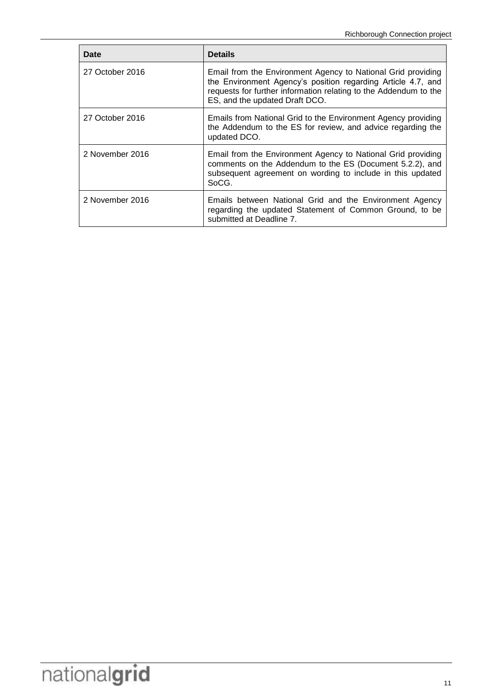| Date            | <b>Details</b>                                                                                                                                                                                                                     |
|-----------------|------------------------------------------------------------------------------------------------------------------------------------------------------------------------------------------------------------------------------------|
| 27 October 2016 | Email from the Environment Agency to National Grid providing<br>the Environment Agency's position regarding Article 4.7, and<br>requests for further information relating to the Addendum to the<br>ES, and the updated Draft DCO. |
| 27 October 2016 | Emails from National Grid to the Environment Agency providing<br>the Addendum to the ES for review, and advice regarding the<br>updated DCO.                                                                                       |
| 2 November 2016 | Email from the Environment Agency to National Grid providing<br>comments on the Addendum to the ES (Document 5.2.2), and<br>subsequent agreement on wording to include in this updated<br>SoCG.                                    |
| 2 November 2016 | Emails between National Grid and the Environment Agency<br>regarding the updated Statement of Common Ground, to be<br>submitted at Deadline 7.                                                                                     |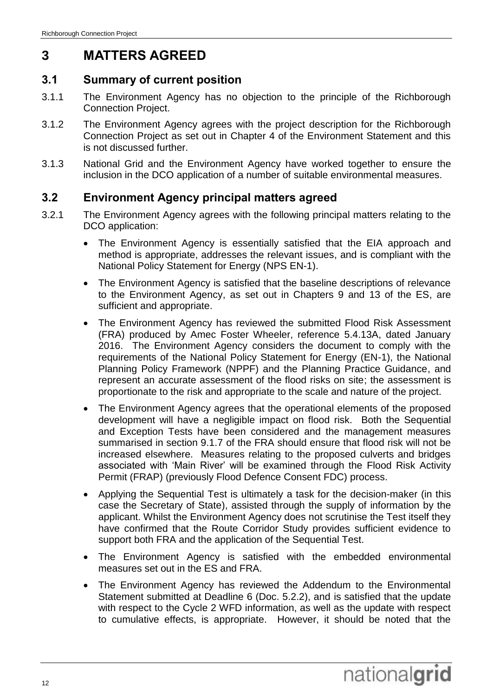# <span id="page-15-0"></span>**3 MATTERS AGREED**

# <span id="page-15-1"></span>**3.1 Summary of current position**

- 3.1.1 The Environment Agency has no objection to the principle of the Richborough Connection Project.
- 3.1.2 The Environment Agency agrees with the project description for the Richborough Connection Project as set out in Chapter 4 of the Environment Statement and this is not discussed further.
- 3.1.3 National Grid and the Environment Agency have worked together to ensure the inclusion in the DCO application of a number of suitable environmental measures.

## <span id="page-15-2"></span>**3.2 Environment Agency principal matters agreed**

- 3.2.1 The Environment Agency agrees with the following principal matters relating to the DCO application:
	- The Environment Agency is essentially satisfied that the EIA approach and method is appropriate, addresses the relevant issues, and is compliant with the National Policy Statement for Energy (NPS EN-1).
	- The Environment Agency is satisfied that the baseline descriptions of relevance to the Environment Agency, as set out in Chapters 9 and 13 of the ES, are sufficient and appropriate.
	- The Environment Agency has reviewed the submitted Flood Risk Assessment (FRA) produced by Amec Foster Wheeler, reference 5.4.13A, dated January 2016. The Environment Agency considers the document to comply with the requirements of the National Policy Statement for Energy (EN-1), the National Planning Policy Framework (NPPF) and the Planning Practice Guidance, and represent an accurate assessment of the flood risks on site; the assessment is proportionate to the risk and appropriate to the scale and nature of the project.
	- The Environment Agency agrees that the operational elements of the proposed development will have a negligible impact on flood risk. Both the Sequential and Exception Tests have been considered and the management measures summarised in section 9.1.7 of the FRA should ensure that flood risk will not be increased elsewhere. Measures relating to the proposed culverts and bridges associated with 'Main River' will be examined through the Flood Risk Activity Permit (FRAP) (previously Flood Defence Consent FDC) process.
	- Applying the Sequential Test is ultimately a task for the decision-maker (in this case the Secretary of State), assisted through the supply of information by the applicant. Whilst the Environment Agency does not scrutinise the Test itself they have confirmed that the Route Corridor Study provides sufficient evidence to support both FRA and the application of the Sequential Test.
	- The Environment Agency is satisfied with the embedded environmental measures set out in the ES and FRA.
	- The Environment Agency has reviewed the Addendum to the Environmental Statement submitted at Deadline 6 (Doc. 5.2.2), and is satisfied that the update with respect to the Cycle 2 WFD information, as well as the update with respect to cumulative effects, is appropriate. However, it should be noted that the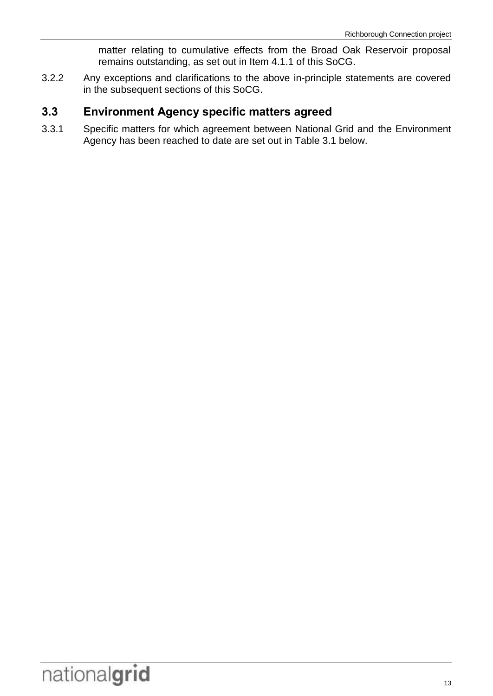matter relating to cumulative effects from the Broad Oak Reservoir proposal remains outstanding, as set out in Item 4.1.1 of this SoCG.

3.2.2 Any exceptions and clarifications to the above in-principle statements are covered in the subsequent sections of this SoCG.

### <span id="page-16-0"></span>**3.3 Environment Agency specific matters agreed**

3.3.1 Specific matters for which agreement between National Grid and the Environment Agency has been reached to date are set out in Table 3.1 below.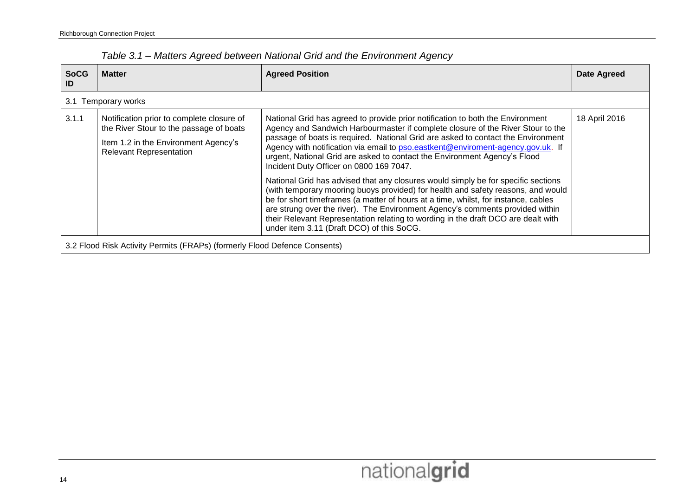| <b>SoCG</b><br>ID | <b>Matter</b>                                                                                                                                                  | <b>Agreed Position</b>                                                                                                                                                                                                                                                                                                                                                                                                                                                         | <b>Date Agreed</b> |  |  |
|-------------------|----------------------------------------------------------------------------------------------------------------------------------------------------------------|--------------------------------------------------------------------------------------------------------------------------------------------------------------------------------------------------------------------------------------------------------------------------------------------------------------------------------------------------------------------------------------------------------------------------------------------------------------------------------|--------------------|--|--|
|                   | 3.1 Temporary works                                                                                                                                            |                                                                                                                                                                                                                                                                                                                                                                                                                                                                                |                    |  |  |
| 3.1.1             | Notification prior to complete closure of<br>the River Stour to the passage of boats<br>Item 1.2 in the Environment Agency's<br><b>Relevant Representation</b> | National Grid has agreed to provide prior notification to both the Environment<br>Agency and Sandwich Harbourmaster if complete closure of the River Stour to the<br>passage of boats is required. National Grid are asked to contact the Environment<br>Agency with notification via email to pso.eastkent@enviroment-agency.gov.uk. If<br>urgent, National Grid are asked to contact the Environment Agency's Flood<br>Incident Duty Officer on 0800 169 7047.               | 18 April 2016      |  |  |
|                   |                                                                                                                                                                | National Grid has advised that any closures would simply be for specific sections<br>(with temporary mooring buoys provided) for health and safety reasons, and would<br>be for short timeframes (a matter of hours at a time, whilst, for instance, cables<br>are strung over the river). The Environment Agency's comments provided within<br>their Relevant Representation relating to wording in the draft DCO are dealt with<br>under item 3.11 (Draft DCO) of this SoCG. |                    |  |  |
|                   | 3.2 Flood Risk Activity Permits (FRAPs) (formerly Flood Defence Consents)                                                                                      |                                                                                                                                                                                                                                                                                                                                                                                                                                                                                |                    |  |  |

*Table 3.1 – Matters Agreed between National Grid and the Environment Agency*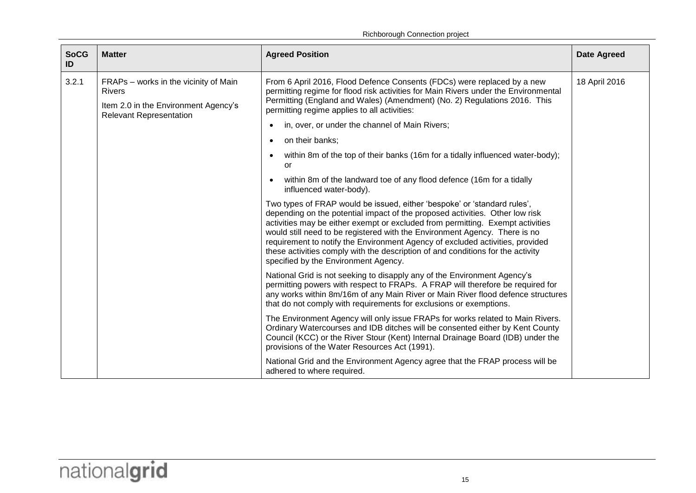| <b>SoCG</b><br>ID | <b>Matter</b>                                                                                                                    | <b>Agreed Position</b>                                                                                                                                                                                                                                                                                                                                                                                                                                                                                                               | <b>Date Agreed</b> |
|-------------------|----------------------------------------------------------------------------------------------------------------------------------|--------------------------------------------------------------------------------------------------------------------------------------------------------------------------------------------------------------------------------------------------------------------------------------------------------------------------------------------------------------------------------------------------------------------------------------------------------------------------------------------------------------------------------------|--------------------|
| 3.2.1             | FRAPs - works in the vicinity of Main<br><b>Rivers</b><br>Item 2.0 in the Environment Agency's<br><b>Relevant Representation</b> | From 6 April 2016, Flood Defence Consents (FDCs) were replaced by a new<br>permitting regime for flood risk activities for Main Rivers under the Environmental<br>Permitting (England and Wales) (Amendment) (No. 2) Regulations 2016. This<br>permitting regime applies to all activities:                                                                                                                                                                                                                                          | 18 April 2016      |
|                   |                                                                                                                                  | in, over, or under the channel of Main Rivers;                                                                                                                                                                                                                                                                                                                                                                                                                                                                                       |                    |
|                   |                                                                                                                                  | on their banks;                                                                                                                                                                                                                                                                                                                                                                                                                                                                                                                      |                    |
|                   |                                                                                                                                  | within 8m of the top of their banks (16m for a tidally influenced water-body);<br>Ωr                                                                                                                                                                                                                                                                                                                                                                                                                                                 |                    |
|                   |                                                                                                                                  | within 8m of the landward toe of any flood defence (16m for a tidally<br>influenced water-body).                                                                                                                                                                                                                                                                                                                                                                                                                                     |                    |
|                   |                                                                                                                                  | Two types of FRAP would be issued, either 'bespoke' or 'standard rules',<br>depending on the potential impact of the proposed activities. Other low risk<br>activities may be either exempt or excluded from permitting. Exempt activities<br>would still need to be registered with the Environment Agency. There is no<br>requirement to notify the Environment Agency of excluded activities, provided<br>these activities comply with the description of and conditions for the activity<br>specified by the Environment Agency. |                    |
|                   |                                                                                                                                  | National Grid is not seeking to disapply any of the Environment Agency's<br>permitting powers with respect to FRAPs. A FRAP will therefore be required for<br>any works within 8m/16m of any Main River or Main River flood defence structures<br>that do not comply with requirements for exclusions or exemptions.                                                                                                                                                                                                                 |                    |
|                   |                                                                                                                                  | The Environment Agency will only issue FRAPs for works related to Main Rivers.<br>Ordinary Watercourses and IDB ditches will be consented either by Kent County<br>Council (KCC) or the River Stour (Kent) Internal Drainage Board (IDB) under the<br>provisions of the Water Resources Act (1991).                                                                                                                                                                                                                                  |                    |
|                   |                                                                                                                                  | National Grid and the Environment Agency agree that the FRAP process will be<br>adhered to where required.                                                                                                                                                                                                                                                                                                                                                                                                                           |                    |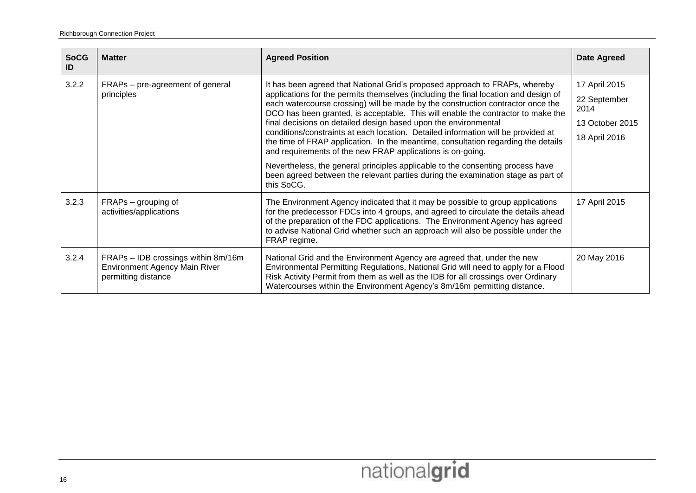| <b>SoCG</b><br>ID | <b>Matter</b>                                                                                      | <b>Agreed Position</b>                                                                                                                                                                                                                                                                                                                                                                                                                                                                                                                                                                                                                               | <b>Date Agreed</b>                                                        |
|-------------------|----------------------------------------------------------------------------------------------------|------------------------------------------------------------------------------------------------------------------------------------------------------------------------------------------------------------------------------------------------------------------------------------------------------------------------------------------------------------------------------------------------------------------------------------------------------------------------------------------------------------------------------------------------------------------------------------------------------------------------------------------------------|---------------------------------------------------------------------------|
| 3.2.2             | FRAPs – pre-agreement of general<br>principles                                                     | It has been agreed that National Grid's proposed approach to FRAPs, whereby<br>applications for the permits themselves (including the final location and design of<br>each watercourse crossing) will be made by the construction contractor once the<br>DCO has been granted, is acceptable. This will enable the contractor to make the<br>final decisions on detailed design based upon the environmental<br>conditions/constraints at each location. Detailed information will be provided at<br>the time of FRAP application. In the meantime, consultation regarding the details<br>and requirements of the new FRAP applications is on-going. | 17 April 2015<br>22 September<br>2014<br>13 October 2015<br>18 April 2016 |
|                   |                                                                                                    | Nevertheless, the general principles applicable to the consenting process have<br>been agreed between the relevant parties during the examination stage as part of<br>this SoCG.                                                                                                                                                                                                                                                                                                                                                                                                                                                                     |                                                                           |
| 3.2.3             | FRAPs – grouping of<br>activities/applications                                                     | The Environment Agency indicated that it may be possible to group applications<br>for the predecessor FDCs into 4 groups, and agreed to circulate the details ahead<br>of the preparation of the FDC applications. The Environment Agency has agreed<br>to advise National Grid whether such an approach will also be possible under the<br>FRAP regime.                                                                                                                                                                                                                                                                                             | 17 April 2015                                                             |
| 3.2.4             | FRAPs - IDB crossings within 8m/16m<br><b>Environment Agency Main River</b><br>permitting distance | National Grid and the Environment Agency are agreed that, under the new<br>Environmental Permitting Regulations, National Grid will need to apply for a Flood<br>Risk Activity Permit from them as well as the IDB for all crossings over Ordinary<br>Watercourses within the Environment Agency's 8m/16m permitting distance.                                                                                                                                                                                                                                                                                                                       | 20 May 2016                                                               |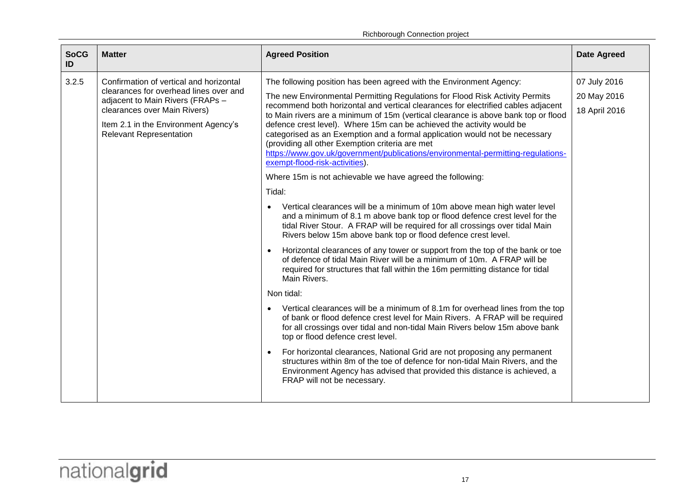Richborough Connection project

| <b>SoCG</b><br><b>Matter</b><br><b>Agreed Position</b><br>ID                                                                                                                                                                                                                                                                                                                                                                                                                                                                                                                                                                                                                                                                                                                                                                                                                                                                                                                                                                                                                                                                                                                                                                                                                                                                                                                                                                                                                                                                                                                                                                                                                                                                                                                                                                                                                                                                                                                                                                                                                                                                                                       | <b>Date Agreed</b>                           |
|--------------------------------------------------------------------------------------------------------------------------------------------------------------------------------------------------------------------------------------------------------------------------------------------------------------------------------------------------------------------------------------------------------------------------------------------------------------------------------------------------------------------------------------------------------------------------------------------------------------------------------------------------------------------------------------------------------------------------------------------------------------------------------------------------------------------------------------------------------------------------------------------------------------------------------------------------------------------------------------------------------------------------------------------------------------------------------------------------------------------------------------------------------------------------------------------------------------------------------------------------------------------------------------------------------------------------------------------------------------------------------------------------------------------------------------------------------------------------------------------------------------------------------------------------------------------------------------------------------------------------------------------------------------------------------------------------------------------------------------------------------------------------------------------------------------------------------------------------------------------------------------------------------------------------------------------------------------------------------------------------------------------------------------------------------------------------------------------------------------------------------------------------------------------|----------------------------------------------|
| 3.2.5<br>Confirmation of vertical and horizontal<br>The following position has been agreed with the Environment Agency:<br>clearances for overhead lines over and<br>The new Environmental Permitting Regulations for Flood Risk Activity Permits<br>adjacent to Main Rivers (FRAPs -<br>recommend both horizontal and vertical clearances for electrified cables adjacent<br>clearances over Main Rivers)<br>to Main rivers are a minimum of 15m (vertical clearance is above bank top or flood<br>defence crest level). Where 15m can be achieved the activity would be<br>Item 2.1 in the Environment Agency's<br>categorised as an Exemption and a formal application would not be necessary<br><b>Relevant Representation</b><br>(providing all other Exemption criteria are met<br>https://www.gov.uk/government/publications/environmental-permitting-regulations-<br>exempt-flood-risk-activities).<br>Where 15m is not achievable we have agreed the following:<br>Tidal:<br>Vertical clearances will be a minimum of 10m above mean high water level<br>and a minimum of 8.1 m above bank top or flood defence crest level for the<br>tidal River Stour. A FRAP will be required for all crossings over tidal Main<br>Rivers below 15m above bank top or flood defence crest level.<br>Horizontal clearances of any tower or support from the top of the bank or toe<br>$\bullet$<br>of defence of tidal Main River will be a minimum of 10m. A FRAP will be<br>required for structures that fall within the 16m permitting distance for tidal<br>Main Rivers.<br>Non tidal:<br>Vertical clearances will be a minimum of 8.1m for overhead lines from the top<br>of bank or flood defence crest level for Main Rivers. A FRAP will be required<br>for all crossings over tidal and non-tidal Main Rivers below 15m above bank<br>top or flood defence crest level.<br>For horizontal clearances, National Grid are not proposing any permanent<br>$\bullet$<br>structures within 8m of the toe of defence for non-tidal Main Rivers, and the<br>Environment Agency has advised that provided this distance is achieved, a<br>FRAP will not be necessary. | 07 July 2016<br>20 May 2016<br>18 April 2016 |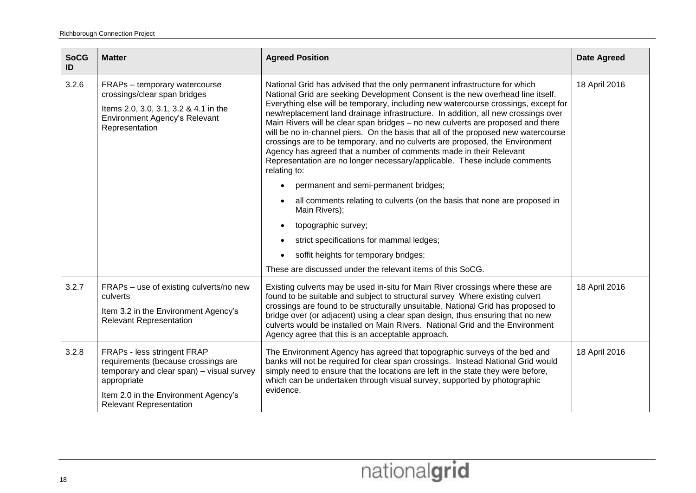| <b>SoCG</b><br>ID | <b>Matter</b>                                                                                                                                                                                            | <b>Agreed Position</b>                                                                                                                                                                                                                                                                                                                                                                                                                                                                                                                                                                                                                                                                                                                                                                                                                                                                                                                                                                                                 | <b>Date Agreed</b> |
|-------------------|----------------------------------------------------------------------------------------------------------------------------------------------------------------------------------------------------------|------------------------------------------------------------------------------------------------------------------------------------------------------------------------------------------------------------------------------------------------------------------------------------------------------------------------------------------------------------------------------------------------------------------------------------------------------------------------------------------------------------------------------------------------------------------------------------------------------------------------------------------------------------------------------------------------------------------------------------------------------------------------------------------------------------------------------------------------------------------------------------------------------------------------------------------------------------------------------------------------------------------------|--------------------|
| 3.2.6             | FRAPs - temporary watercourse<br>crossings/clear span bridges<br>Items 2.0, 3.0, 3.1, 3.2 & 4.1 in the<br>Environment Agency's Relevant<br>Representation                                                | National Grid has advised that the only permanent infrastructure for which<br>National Grid are seeking Development Consent is the new overhead line itself.<br>Everything else will be temporary, including new watercourse crossings, except for<br>new/replacement land drainage infrastructure. In addition, all new crossings over<br>Main Rivers will be clear span bridges - no new culverts are proposed and there<br>will be no in-channel piers. On the basis that all of the proposed new watercourse<br>crossings are to be temporary, and no culverts are proposed, the Environment<br>Agency has agreed that a number of comments made in their Relevant<br>Representation are no longer necessary/applicable. These include comments<br>relating to:<br>permanent and semi-permanent bridges;<br>all comments relating to culverts (on the basis that none are proposed in<br>Main Rivers);<br>topographic survey;<br>strict specifications for mammal ledges;<br>soffit heights for temporary bridges; | 18 April 2016      |
|                   |                                                                                                                                                                                                          | These are discussed under the relevant items of this SoCG.                                                                                                                                                                                                                                                                                                                                                                                                                                                                                                                                                                                                                                                                                                                                                                                                                                                                                                                                                             |                    |
| 3.2.7             | FRAPs - use of existing culverts/no new<br>culverts<br>Item 3.2 in the Environment Agency's<br><b>Relevant Representation</b>                                                                            | Existing culverts may be used in-situ for Main River crossings where these are<br>found to be suitable and subject to structural survey Where existing culvert<br>crossings are found to be structurally unsuitable, National Grid has proposed to<br>bridge over (or adjacent) using a clear span design, thus ensuring that no new<br>culverts would be installed on Main Rivers. National Grid and the Environment<br>Agency agree that this is an acceptable approach.                                                                                                                                                                                                                                                                                                                                                                                                                                                                                                                                             | 18 April 2016      |
| 3.2.8             | FRAPs - less stringent FRAP<br>requirements (because crossings are<br>temporary and clear span) - visual survey<br>appropriate<br>Item 2.0 in the Environment Agency's<br><b>Relevant Representation</b> | The Environment Agency has agreed that topographic surveys of the bed and<br>banks will not be required for clear span crossings. Instead National Grid would<br>simply need to ensure that the locations are left in the state they were before,<br>which can be undertaken through visual survey, supported by photographic<br>evidence.                                                                                                                                                                                                                                                                                                                                                                                                                                                                                                                                                                                                                                                                             | 18 April 2016      |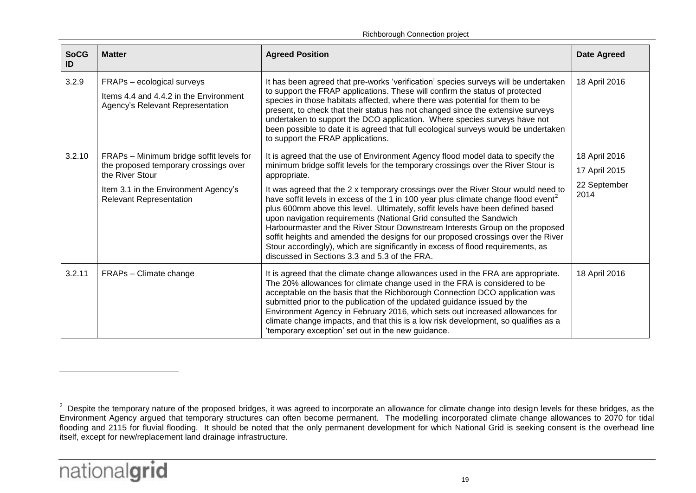Richborough Connection project

| <b>SoCG</b><br>ID | <b>Matter</b>                                                                                                                                                                  | <b>Agreed Position</b>                                                                                                                                                                                                                                                                                                                                                                                                                                                                                                                                                                                                                                                                                                                                                                                                                     | <b>Date Agreed</b>                                     |
|-------------------|--------------------------------------------------------------------------------------------------------------------------------------------------------------------------------|--------------------------------------------------------------------------------------------------------------------------------------------------------------------------------------------------------------------------------------------------------------------------------------------------------------------------------------------------------------------------------------------------------------------------------------------------------------------------------------------------------------------------------------------------------------------------------------------------------------------------------------------------------------------------------------------------------------------------------------------------------------------------------------------------------------------------------------------|--------------------------------------------------------|
| 3.2.9             | FRAPs - ecological surveys<br>Items 4.4 and 4.4.2 in the Environment<br>Agency's Relevant Representation                                                                       | It has been agreed that pre-works 'verification' species surveys will be undertaken<br>to support the FRAP applications. These will confirm the status of protected<br>species in those habitats affected, where there was potential for them to be<br>present, to check that their status has not changed since the extensive surveys<br>undertaken to support the DCO application. Where species surveys have not<br>been possible to date it is agreed that full ecological surveys would be undertaken<br>to support the FRAP applications.                                                                                                                                                                                                                                                                                            | 18 April 2016                                          |
| 3.2.10            | FRAPs - Minimum bridge soffit levels for<br>the proposed temporary crossings over<br>the River Stour<br>Item 3.1 in the Environment Agency's<br><b>Relevant Representation</b> | It is agreed that the use of Environment Agency flood model data to specify the<br>minimum bridge soffit levels for the temporary crossings over the River Stour is<br>appropriate.<br>It was agreed that the 2 x temporary crossings over the River Stour would need to<br>have soffit levels in excess of the 1 in 100 year plus climate change flood event <sup>2</sup><br>plus 600mm above this level. Ultimately, soffit levels have been defined based<br>upon navigation requirements (National Grid consulted the Sandwich<br>Harbourmaster and the River Stour Downstream Interests Group on the proposed<br>soffit heights and amended the designs for our proposed crossings over the River<br>Stour accordingly), which are significantly in excess of flood requirements, as<br>discussed in Sections 3.3 and 5.3 of the FRA. | 18 April 2016<br>17 April 2015<br>22 September<br>2014 |
| 3.2.11            | FRAPs - Climate change                                                                                                                                                         | It is agreed that the climate change allowances used in the FRA are appropriate.<br>The 20% allowances for climate change used in the FRA is considered to be<br>acceptable on the basis that the Richborough Connection DCO application was<br>submitted prior to the publication of the updated guidance issued by the<br>Environment Agency in February 2016, which sets out increased allowances for<br>climate change impacts, and that this is a low risk development, so qualifies as a<br>'temporary exception' set out in the new guidance.                                                                                                                                                                                                                                                                                       | 18 April 2016                                          |

-

 $2$  Despite the temporary nature of the proposed bridges, it was agreed to incorporate an allowance for climate change into design levels for these bridges, as the Environment Agency argued that temporary structures can often become permanent. The modelling incorporated climate change allowances to 2070 for tidal flooding and 2115 for fluvial flooding. It should be noted that the only permanent development for which National Grid is seeking consent is the overhead line itself, except for new/replacement land drainage infrastructure.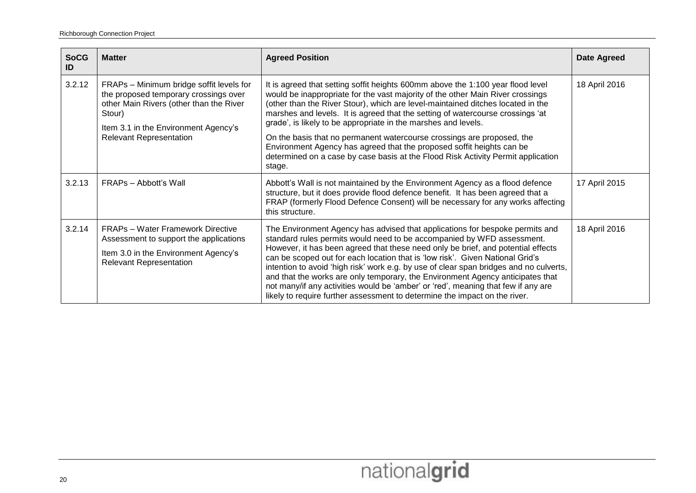| <b>SoCG</b><br>ID | <b>Matter</b>                                                                                                                                                                                                    | <b>Agreed Position</b>                                                                                                                                                                                                                                                                                                                                                                                                                                                                                                                                                                                                                                                     | <b>Date Agreed</b> |
|-------------------|------------------------------------------------------------------------------------------------------------------------------------------------------------------------------------------------------------------|----------------------------------------------------------------------------------------------------------------------------------------------------------------------------------------------------------------------------------------------------------------------------------------------------------------------------------------------------------------------------------------------------------------------------------------------------------------------------------------------------------------------------------------------------------------------------------------------------------------------------------------------------------------------------|--------------------|
| 3.2.12            | FRAPs - Minimum bridge soffit levels for<br>the proposed temporary crossings over<br>other Main Rivers (other than the River<br>Stour)<br>Item 3.1 in the Environment Agency's<br><b>Relevant Representation</b> | It is agreed that setting soffit heights 600mm above the 1:100 year flood level<br>would be inappropriate for the vast majority of the other Main River crossings<br>(other than the River Stour), which are level-maintained ditches located in the<br>marshes and levels. It is agreed that the setting of watercourse crossings 'at<br>grade', is likely to be appropriate in the marshes and levels.                                                                                                                                                                                                                                                                   | 18 April 2016      |
|                   |                                                                                                                                                                                                                  | On the basis that no permanent watercourse crossings are proposed, the<br>Environment Agency has agreed that the proposed soffit heights can be<br>determined on a case by case basis at the Flood Risk Activity Permit application<br>stage.                                                                                                                                                                                                                                                                                                                                                                                                                              |                    |
| 3.2.13            | FRAPs - Abbott's Wall                                                                                                                                                                                            | Abbott's Wall is not maintained by the Environment Agency as a flood defence<br>structure, but it does provide flood defence benefit. It has been agreed that a<br>FRAP (formerly Flood Defence Consent) will be necessary for any works affecting<br>this structure.                                                                                                                                                                                                                                                                                                                                                                                                      | 17 April 2015      |
| 3.2.14            | <b>FRAPs - Water Framework Directive</b><br>Assessment to support the applications<br>Item 3.0 in the Environment Agency's<br><b>Relevant Representation</b>                                                     | The Environment Agency has advised that applications for bespoke permits and<br>standard rules permits would need to be accompanied by WFD assessment.<br>However, it has been agreed that these need only be brief, and potential effects<br>can be scoped out for each location that is 'low risk'. Given National Grid's<br>intention to avoid 'high risk' work e.g. by use of clear span bridges and no culverts,<br>and that the works are only temporary, the Environment Agency anticipates that<br>not many/if any activities would be 'amber' or 'red', meaning that few if any are<br>likely to require further assessment to determine the impact on the river. | 18 April 2016      |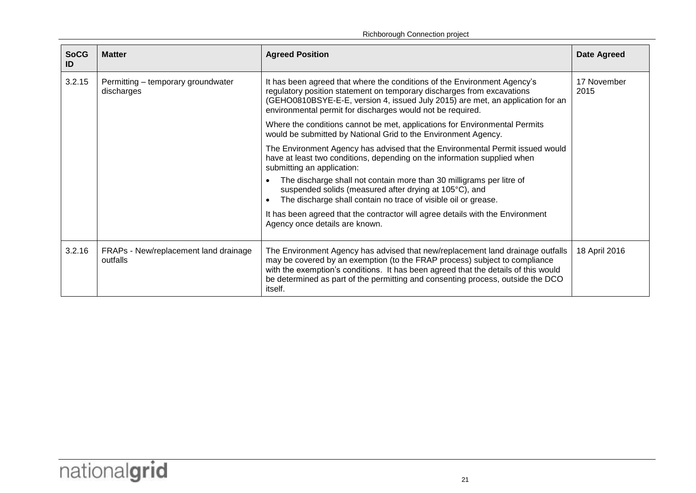| <b>SoCG</b><br>ID | <b>Matter</b>                                     | <b>Agreed Position</b>                                                                                                                                                                                                                                                                                                                           | <b>Date Agreed</b>  |
|-------------------|---------------------------------------------------|--------------------------------------------------------------------------------------------------------------------------------------------------------------------------------------------------------------------------------------------------------------------------------------------------------------------------------------------------|---------------------|
| 3.2.15            | Permitting - temporary groundwater<br>discharges  | It has been agreed that where the conditions of the Environment Agency's<br>regulatory position statement on temporary discharges from excavations<br>(GEHO0810BSYE-E-E, version 4, issued July 2015) are met, an application for an<br>environmental permit for discharges would not be required.                                               | 17 November<br>2015 |
|                   |                                                   | Where the conditions cannot be met, applications for Environmental Permits<br>would be submitted by National Grid to the Environment Agency.                                                                                                                                                                                                     |                     |
|                   |                                                   | The Environment Agency has advised that the Environmental Permit issued would<br>have at least two conditions, depending on the information supplied when<br>submitting an application:<br>The discharge shall not contain more than 30 milligrams per litre of                                                                                  |                     |
|                   |                                                   | suspended solids (measured after drying at 105°C), and<br>The discharge shall contain no trace of visible oil or grease.                                                                                                                                                                                                                         |                     |
|                   |                                                   | It has been agreed that the contractor will agree details with the Environment<br>Agency once details are known.                                                                                                                                                                                                                                 |                     |
| 3.2.16            | FRAPs - New/replacement land drainage<br>outfalls | The Environment Agency has advised that new/replacement land drainage outfalls<br>may be covered by an exemption (to the FRAP process) subject to compliance<br>with the exemption's conditions. It has been agreed that the details of this would<br>be determined as part of the permitting and consenting process, outside the DCO<br>itself. | 18 April 2016       |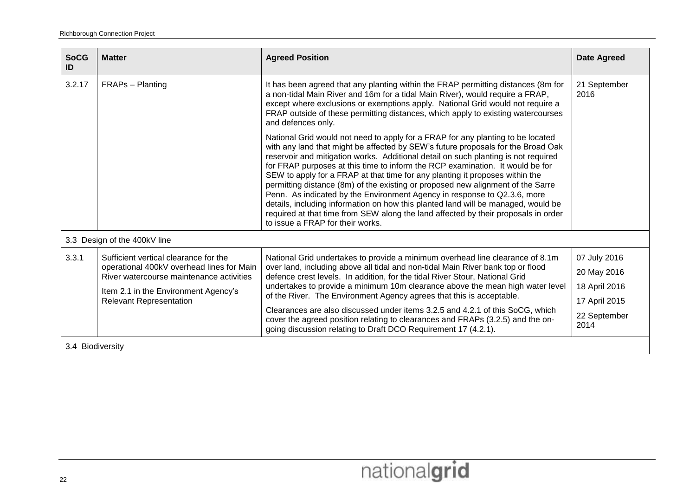| <b>SoCG</b><br>ID | <b>Matter</b>                                                                                                                  | <b>Agreed Position</b>                                                                                                                                                                                                                                                                                                                                                                                                                                                                                                                                                                                                                                                                                                                                                                                   | <b>Date Agreed</b>   |
|-------------------|--------------------------------------------------------------------------------------------------------------------------------|----------------------------------------------------------------------------------------------------------------------------------------------------------------------------------------------------------------------------------------------------------------------------------------------------------------------------------------------------------------------------------------------------------------------------------------------------------------------------------------------------------------------------------------------------------------------------------------------------------------------------------------------------------------------------------------------------------------------------------------------------------------------------------------------------------|----------------------|
| 3.2.17            | FRAPs - Planting                                                                                                               | It has been agreed that any planting within the FRAP permitting distances (8m for<br>a non-tidal Main River and 16m for a tidal Main River), would require a FRAP,<br>except where exclusions or exemptions apply. National Grid would not require a<br>FRAP outside of these permitting distances, which apply to existing watercourses<br>and defences only.                                                                                                                                                                                                                                                                                                                                                                                                                                           | 21 September<br>2016 |
|                   |                                                                                                                                | National Grid would not need to apply for a FRAP for any planting to be located<br>with any land that might be affected by SEW's future proposals for the Broad Oak<br>reservoir and mitigation works. Additional detail on such planting is not required<br>for FRAP purposes at this time to inform the RCP examination. It would be for<br>SEW to apply for a FRAP at that time for any planting it proposes within the<br>permitting distance (8m) of the existing or proposed new alignment of the Sarre<br>Penn. As indicated by the Environment Agency in response to Q2.3.6, more<br>details, including information on how this planted land will be managed, would be<br>required at that time from SEW along the land affected by their proposals in order<br>to issue a FRAP for their works. |                      |
|                   | 3.3 Design of the 400kV line                                                                                                   |                                                                                                                                                                                                                                                                                                                                                                                                                                                                                                                                                                                                                                                                                                                                                                                                          |                      |
| 3.3.1             | Sufficient vertical clearance for the<br>operational 400kV overhead lines for Main<br>River watercourse maintenance activities | National Grid undertakes to provide a minimum overhead line clearance of 8.1m<br>over land, including above all tidal and non-tidal Main River bank top or flood<br>defence crest levels. In addition, for the tidal River Stour, National Grid                                                                                                                                                                                                                                                                                                                                                                                                                                                                                                                                                          | 07 July 2016         |
|                   |                                                                                                                                |                                                                                                                                                                                                                                                                                                                                                                                                                                                                                                                                                                                                                                                                                                                                                                                                          | 20 May 2016          |
|                   | Item 2.1 in the Environment Agency's                                                                                           | undertakes to provide a minimum 10m clearance above the mean high water level<br>of the River. The Environment Agency agrees that this is acceptable.                                                                                                                                                                                                                                                                                                                                                                                                                                                                                                                                                                                                                                                    | 18 April 2016        |
|                   | <b>Relevant Representation</b>                                                                                                 | Clearances are also discussed under items 3.2.5 and 4.2.1 of this SoCG, which                                                                                                                                                                                                                                                                                                                                                                                                                                                                                                                                                                                                                                                                                                                            | 17 April 2015        |
|                   |                                                                                                                                | cover the agreed position relating to clearances and FRAPs (3.2.5) and the on-<br>going discussion relating to Draft DCO Requirement 17 (4.2.1).                                                                                                                                                                                                                                                                                                                                                                                                                                                                                                                                                                                                                                                         | 22 September<br>2014 |
| 3.4 Biodiversity  |                                                                                                                                |                                                                                                                                                                                                                                                                                                                                                                                                                                                                                                                                                                                                                                                                                                                                                                                                          |                      |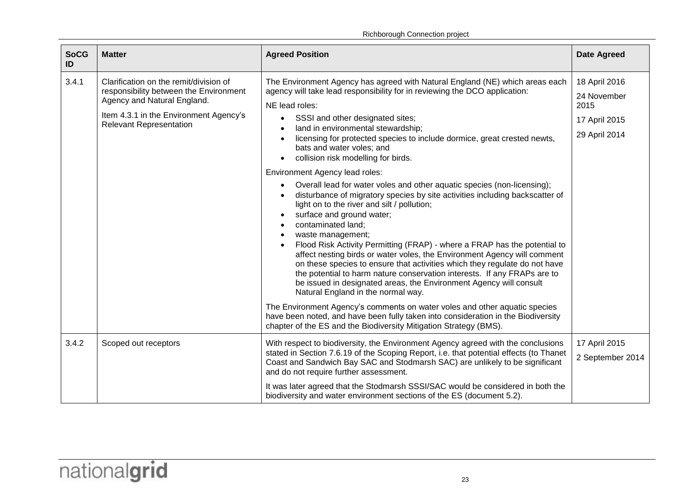| <b>SoCG</b><br>ID | <b>Matter</b>                                                                                                                                                                               | <b>Agreed Position</b>                                                                                                                                                                                                                                                                                                                                                                                                                                                                                                                                                                                                                                                                                                                                                                                                                                                                                                                                                                                                                                                                                                                                                                                                                                                                                                                                                                                         | <b>Date Agreed</b>                                                     |
|-------------------|---------------------------------------------------------------------------------------------------------------------------------------------------------------------------------------------|----------------------------------------------------------------------------------------------------------------------------------------------------------------------------------------------------------------------------------------------------------------------------------------------------------------------------------------------------------------------------------------------------------------------------------------------------------------------------------------------------------------------------------------------------------------------------------------------------------------------------------------------------------------------------------------------------------------------------------------------------------------------------------------------------------------------------------------------------------------------------------------------------------------------------------------------------------------------------------------------------------------------------------------------------------------------------------------------------------------------------------------------------------------------------------------------------------------------------------------------------------------------------------------------------------------------------------------------------------------------------------------------------------------|------------------------------------------------------------------------|
| 3.4.1             | Clarification on the remit/division of<br>responsibility between the Environment<br>Agency and Natural England.<br>Item 4.3.1 in the Environment Agency's<br><b>Relevant Representation</b> | The Environment Agency has agreed with Natural England (NE) which areas each<br>agency will take lead responsibility for in reviewing the DCO application:<br>NE lead roles:<br>SSSI and other designated sites;<br>$\bullet$<br>land in environmental stewardship;<br>licensing for protected species to include dormice, great crested newts,<br>bats and water voles; and<br>collision risk modelling for birds.<br>Environment Agency lead roles:<br>Overall lead for water voles and other aquatic species (non-licensing);<br>disturbance of migratory species by site activities including backscatter of<br>light on to the river and silt / pollution;<br>surface and ground water;<br>contaminated land;<br>waste management;<br>Flood Risk Activity Permitting (FRAP) - where a FRAP has the potential to<br>affect nesting birds or water voles, the Environment Agency will comment<br>on these species to ensure that activities which they regulate do not have<br>the potential to harm nature conservation interests. If any FRAPs are to<br>be issued in designated areas, the Environment Agency will consult<br>Natural England in the normal way.<br>The Environment Agency's comments on water voles and other aquatic species<br>have been noted, and have been fully taken into consideration in the Biodiversity<br>chapter of the ES and the Biodiversity Mitigation Strategy (BMS). | 18 April 2016<br>24 November<br>2015<br>17 April 2015<br>29 April 2014 |
| 3.4.2             | Scoped out receptors                                                                                                                                                                        | With respect to biodiversity, the Environment Agency agreed with the conclusions<br>stated in Section 7.6.19 of the Scoping Report, i.e. that potential effects (to Thanet<br>Coast and Sandwich Bay SAC and Stodmarsh SAC) are unlikely to be significant<br>and do not require further assessment.<br>It was later agreed that the Stodmarsh SSSI/SAC would be considered in both the<br>biodiversity and water environment sections of the ES (document 5.2).                                                                                                                                                                                                                                                                                                                                                                                                                                                                                                                                                                                                                                                                                                                                                                                                                                                                                                                                               | 17 April 2015<br>2 September 2014                                      |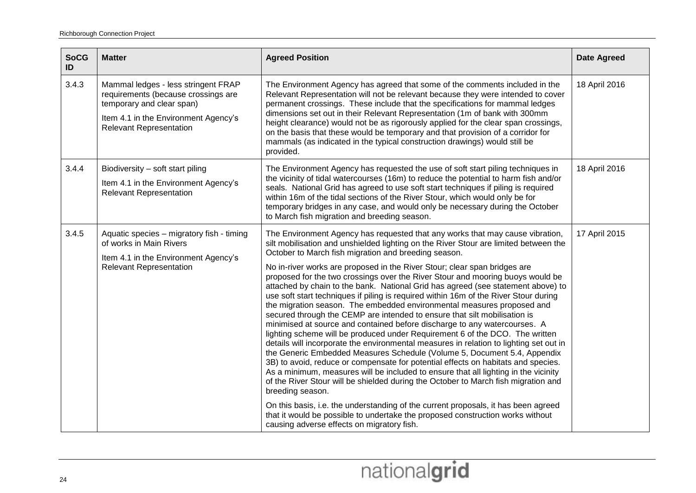| <b>SoCG</b><br>ID | <b>Matter</b>                                                                                                                                                                     | <b>Agreed Position</b>                                                                                                                                                                                                                                                                                                                                                                                                                                                                                                                                                                                                                                                                                                                                                                                                                                                                                                                                                                                                                                                                                                                                                                                                                                                                                                                                                                                                                                                                                                                                                         | <b>Date Agreed</b> |
|-------------------|-----------------------------------------------------------------------------------------------------------------------------------------------------------------------------------|--------------------------------------------------------------------------------------------------------------------------------------------------------------------------------------------------------------------------------------------------------------------------------------------------------------------------------------------------------------------------------------------------------------------------------------------------------------------------------------------------------------------------------------------------------------------------------------------------------------------------------------------------------------------------------------------------------------------------------------------------------------------------------------------------------------------------------------------------------------------------------------------------------------------------------------------------------------------------------------------------------------------------------------------------------------------------------------------------------------------------------------------------------------------------------------------------------------------------------------------------------------------------------------------------------------------------------------------------------------------------------------------------------------------------------------------------------------------------------------------------------------------------------------------------------------------------------|--------------------|
| 3.4.3             | Mammal ledges - less stringent FRAP<br>requirements (because crossings are<br>temporary and clear span)<br>Item 4.1 in the Environment Agency's<br><b>Relevant Representation</b> | The Environment Agency has agreed that some of the comments included in the<br>Relevant Representation will not be relevant because they were intended to cover<br>permanent crossings. These include that the specifications for mammal ledges<br>dimensions set out in their Relevant Representation (1m of bank with 300mm<br>height clearance) would not be as rigorously applied for the clear span crossings,<br>on the basis that these would be temporary and that provision of a corridor for<br>mammals (as indicated in the typical construction drawings) would still be<br>provided.                                                                                                                                                                                                                                                                                                                                                                                                                                                                                                                                                                                                                                                                                                                                                                                                                                                                                                                                                                              | 18 April 2016      |
| 3.4.4             | Biodiversity - soft start piling<br>Item 4.1 in the Environment Agency's<br><b>Relevant Representation</b>                                                                        | The Environment Agency has requested the use of soft start piling techniques in<br>the vicinity of tidal watercourses (16m) to reduce the potential to harm fish and/or<br>seals. National Grid has agreed to use soft start techniques if piling is required<br>within 16m of the tidal sections of the River Stour, which would only be for<br>temporary bridges in any case, and would only be necessary during the October<br>to March fish migration and breeding season.                                                                                                                                                                                                                                                                                                                                                                                                                                                                                                                                                                                                                                                                                                                                                                                                                                                                                                                                                                                                                                                                                                 | 18 April 2016      |
| 3.4.5             | Aquatic species - migratory fish - timing<br>of works in Main Rivers<br>Item 4.1 in the Environment Agency's<br><b>Relevant Representation</b>                                    | The Environment Agency has requested that any works that may cause vibration,<br>silt mobilisation and unshielded lighting on the River Stour are limited between the<br>October to March fish migration and breeding season.<br>No in-river works are proposed in the River Stour; clear span bridges are<br>proposed for the two crossings over the River Stour and mooring buoys would be<br>attached by chain to the bank. National Grid has agreed (see statement above) to<br>use soft start techniques if piling is required within 16m of the River Stour during<br>the migration season. The embedded environmental measures proposed and<br>secured through the CEMP are intended to ensure that silt mobilisation is<br>minimised at source and contained before discharge to any watercourses. A<br>lighting scheme will be produced under Requirement 6 of the DCO. The written<br>details will incorporate the environmental measures in relation to lighting set out in<br>the Generic Embedded Measures Schedule (Volume 5, Document 5.4, Appendix<br>3B) to avoid, reduce or compensate for potential effects on habitats and species.<br>As a minimum, measures will be included to ensure that all lighting in the vicinity<br>of the River Stour will be shielded during the October to March fish migration and<br>breeding season.<br>On this basis, i.e. the understanding of the current proposals, it has been agreed<br>that it would be possible to undertake the proposed construction works without<br>causing adverse effects on migratory fish. | 17 April 2015      |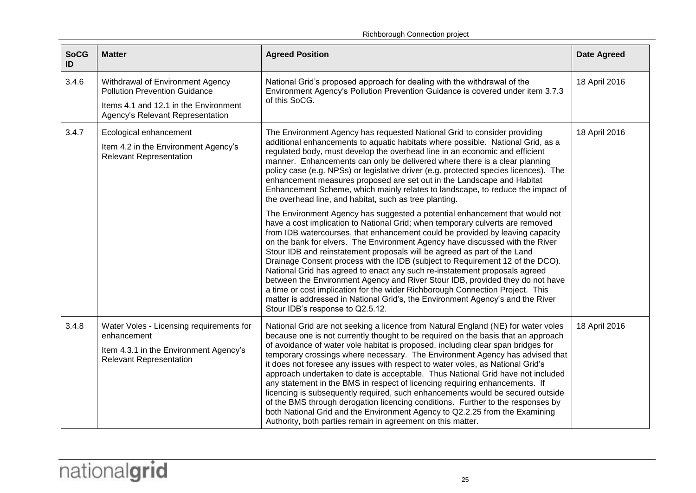Richborough Connection project

| <b>SoCG</b><br>ID | <b>Matter</b>                                                                                                                                         | <b>Agreed Position</b>                                                                                                                                                                                                                                                                                                                                                                                                                                                                                                                                                                                                                                                                                                                                                                                                                                                                                                                                                                                                                              | <b>Date Agreed</b> |
|-------------------|-------------------------------------------------------------------------------------------------------------------------------------------------------|-----------------------------------------------------------------------------------------------------------------------------------------------------------------------------------------------------------------------------------------------------------------------------------------------------------------------------------------------------------------------------------------------------------------------------------------------------------------------------------------------------------------------------------------------------------------------------------------------------------------------------------------------------------------------------------------------------------------------------------------------------------------------------------------------------------------------------------------------------------------------------------------------------------------------------------------------------------------------------------------------------------------------------------------------------|--------------------|
| 3.4.6             | Withdrawal of Environment Agency<br><b>Pollution Prevention Guidance</b><br>Items 4.1 and 12.1 in the Environment<br>Agency's Relevant Representation | National Grid's proposed approach for dealing with the withdrawal of the<br>Environment Agency's Pollution Prevention Guidance is covered under item 3.7.3<br>of this SoCG.                                                                                                                                                                                                                                                                                                                                                                                                                                                                                                                                                                                                                                                                                                                                                                                                                                                                         | 18 April 2016      |
| 3.4.7             | Ecological enhancement<br>Item 4.2 in the Environment Agency's<br><b>Relevant Representation</b>                                                      | The Environment Agency has requested National Grid to consider providing<br>additional enhancements to aquatic habitats where possible. National Grid, as a<br>regulated body, must develop the overhead line in an economic and efficient<br>manner. Enhancements can only be delivered where there is a clear planning<br>policy case (e.g. NPSs) or legislative driver (e.g. protected species licences). The<br>enhancement measures proposed are set out in the Landscape and Habitat<br>Enhancement Scheme, which mainly relates to landscape, to reduce the impact of<br>the overhead line, and habitat, such as tree planting.<br>The Environment Agency has suggested a potential enhancement that would not<br>have a cost implication to National Grid; when temporary culverts are removed<br>from IDB watercourses, that enhancement could be provided by leaving capacity<br>on the bank for elvers. The Environment Agency have discussed with the River<br>Stour IDB and reinstatement proposals will be agreed as part of the Land | 18 April 2016      |
|                   |                                                                                                                                                       | Drainage Consent process with the IDB (subject to Requirement 12 of the DCO).<br>National Grid has agreed to enact any such re-instatement proposals agreed<br>between the Environment Agency and River Stour IDB, provided they do not have<br>a time or cost implication for the wider Richborough Connection Project. This<br>matter is addressed in National Grid's, the Environment Agency's and the River<br>Stour IDB's response to Q2.5.12.                                                                                                                                                                                                                                                                                                                                                                                                                                                                                                                                                                                                 |                    |
| 3.4.8             | Water Voles - Licensing requirements for<br>enhancement<br>Item 4.3.1 in the Environment Agency's<br><b>Relevant Representation</b>                   | National Grid are not seeking a licence from Natural England (NE) for water voles<br>because one is not currently thought to be required on the basis that an approach<br>of avoidance of water vole habitat is proposed, including clear span bridges for<br>temporary crossings where necessary. The Environment Agency has advised that<br>it does not foresee any issues with respect to water voles, as National Grid's<br>approach undertaken to date is acceptable. Thus National Grid have not included<br>any statement in the BMS in respect of licencing requiring enhancements. If<br>licencing is subsequently required, such enhancements would be secured outside<br>of the BMS through derogation licencing conditions. Further to the responses by<br>both National Grid and the Environment Agency to Q2.2.25 from the Examining<br>Authority, both parties remain in agreement on this matter.                                                                                                                                   | 18 April 2016      |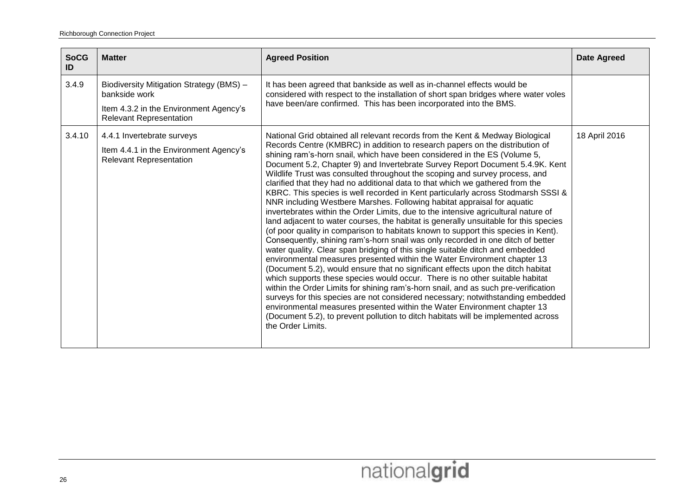| <b>SoCG</b><br>ID | <b>Matter</b>                                                                                                                         | <b>Agreed Position</b>                                                                                                                                                                                                                                                                                                                                                                                                                                                                                                                                                                                                                                                                                                                                                                                                                                                                                                                                                                                                                                                                                                                                                                                                                                                                                                                                                                                                                                                                                                                                                                                                                                                                                           | <b>Date Agreed</b> |
|-------------------|---------------------------------------------------------------------------------------------------------------------------------------|------------------------------------------------------------------------------------------------------------------------------------------------------------------------------------------------------------------------------------------------------------------------------------------------------------------------------------------------------------------------------------------------------------------------------------------------------------------------------------------------------------------------------------------------------------------------------------------------------------------------------------------------------------------------------------------------------------------------------------------------------------------------------------------------------------------------------------------------------------------------------------------------------------------------------------------------------------------------------------------------------------------------------------------------------------------------------------------------------------------------------------------------------------------------------------------------------------------------------------------------------------------------------------------------------------------------------------------------------------------------------------------------------------------------------------------------------------------------------------------------------------------------------------------------------------------------------------------------------------------------------------------------------------------------------------------------------------------|--------------------|
| 3.4.9             | Biodiversity Mitigation Strategy (BMS) -<br>bankside work<br>Item 4.3.2 in the Environment Agency's<br><b>Relevant Representation</b> | It has been agreed that bankside as well as in-channel effects would be<br>considered with respect to the installation of short span bridges where water voles<br>have been/are confirmed. This has been incorporated into the BMS.                                                                                                                                                                                                                                                                                                                                                                                                                                                                                                                                                                                                                                                                                                                                                                                                                                                                                                                                                                                                                                                                                                                                                                                                                                                                                                                                                                                                                                                                              |                    |
| 3.4.10            | 4.4.1 Invertebrate surveys<br>Item 4.4.1 in the Environment Agency's<br><b>Relevant Representation</b>                                | National Grid obtained all relevant records from the Kent & Medway Biological<br>Records Centre (KMBRC) in addition to research papers on the distribution of<br>shining ram's-horn snail, which have been considered in the ES (Volume 5,<br>Document 5.2, Chapter 9) and Invertebrate Survey Report Document 5.4.9K. Kent<br>Wildlife Trust was consulted throughout the scoping and survey process, and<br>clarified that they had no additional data to that which we gathered from the<br>KBRC. This species is well recorded in Kent particularly across Stodmarsh SSSI &<br>NNR including Westbere Marshes. Following habitat appraisal for aquatic<br>invertebrates within the Order Limits, due to the intensive agricultural nature of<br>land adjacent to water courses, the habitat is generally unsuitable for this species<br>(of poor quality in comparison to habitats known to support this species in Kent).<br>Consequently, shining ram's-horn snail was only recorded in one ditch of better<br>water quality. Clear span bridging of this single suitable ditch and embedded<br>environmental measures presented within the Water Environment chapter 13<br>(Document 5.2), would ensure that no significant effects upon the ditch habitat<br>which supports these species would occur. There is no other suitable habitat<br>within the Order Limits for shining ram's-horn snail, and as such pre-verification<br>surveys for this species are not considered necessary; notwithstanding embedded<br>environmental measures presented within the Water Environment chapter 13<br>(Document 5.2), to prevent pollution to ditch habitats will be implemented across<br>the Order Limits. | 18 April 2016      |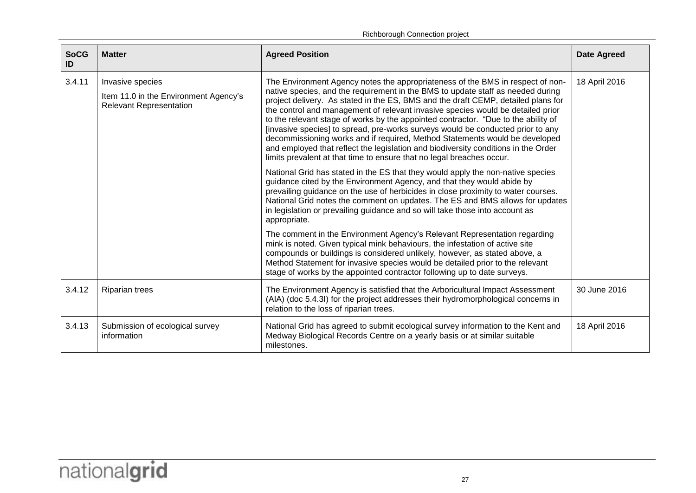Richborough Connection project

| <b>SoCG</b><br>ID | <b>Matter</b>                                                                               | <b>Agreed Position</b>                                                                                                                                                                                                                                                                                                                                                                                                                                                                                                                                                                                                                                                                                                                                           | <b>Date Agreed</b> |
|-------------------|---------------------------------------------------------------------------------------------|------------------------------------------------------------------------------------------------------------------------------------------------------------------------------------------------------------------------------------------------------------------------------------------------------------------------------------------------------------------------------------------------------------------------------------------------------------------------------------------------------------------------------------------------------------------------------------------------------------------------------------------------------------------------------------------------------------------------------------------------------------------|--------------------|
| 3.4.11            | Invasive species<br>Item 11.0 in the Environment Agency's<br><b>Relevant Representation</b> | The Environment Agency notes the appropriateness of the BMS in respect of non-<br>native species, and the requirement in the BMS to update staff as needed during<br>project delivery. As stated in the ES, BMS and the draft CEMP, detailed plans for<br>the control and management of relevant invasive species would be detailed prior<br>to the relevant stage of works by the appointed contractor. "Due to the ability of<br>[invasive species] to spread, pre-works surveys would be conducted prior to any<br>decommissioning works and if required, Method Statements would be developed<br>and employed that reflect the legislation and biodiversity conditions in the Order<br>limits prevalent at that time to ensure that no legal breaches occur. | 18 April 2016      |
|                   |                                                                                             | National Grid has stated in the ES that they would apply the non-native species<br>guidance cited by the Environment Agency, and that they would abide by<br>prevailing guidance on the use of herbicides in close proximity to water courses.<br>National Grid notes the comment on updates. The ES and BMS allows for updates<br>in legislation or prevailing guidance and so will take those into account as<br>appropriate.                                                                                                                                                                                                                                                                                                                                  |                    |
|                   |                                                                                             | The comment in the Environment Agency's Relevant Representation regarding<br>mink is noted. Given typical mink behaviours, the infestation of active site<br>compounds or buildings is considered unlikely, however, as stated above, a<br>Method Statement for invasive species would be detailed prior to the relevant<br>stage of works by the appointed contractor following up to date surveys.                                                                                                                                                                                                                                                                                                                                                             |                    |
| 3.4.12            | <b>Riparian trees</b>                                                                       | The Environment Agency is satisfied that the Arboricultural Impact Assessment<br>(AIA) (doc 5.4.3l) for the project addresses their hydromorphological concerns in<br>relation to the loss of riparian trees.                                                                                                                                                                                                                                                                                                                                                                                                                                                                                                                                                    | 30 June 2016       |
| 3.4.13            | Submission of ecological survey<br>information                                              | National Grid has agreed to submit ecological survey information to the Kent and<br>Medway Biological Records Centre on a yearly basis or at similar suitable<br>milestones.                                                                                                                                                                                                                                                                                                                                                                                                                                                                                                                                                                                     | 18 April 2016      |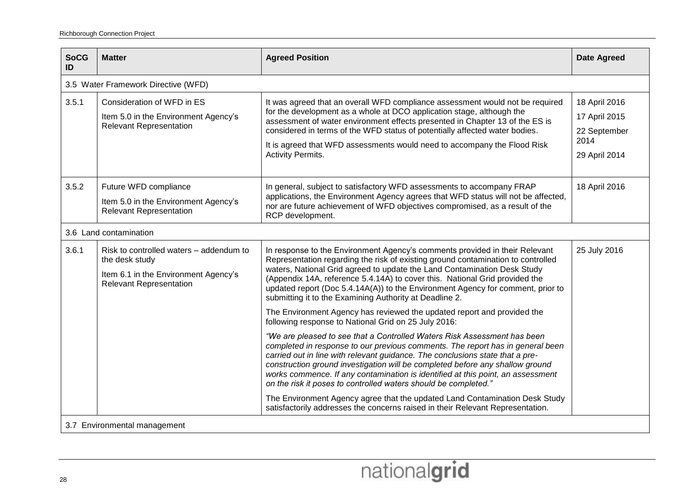| <b>SoCG</b><br>ID | <b>Matter</b>                                                                                                                       | <b>Agreed Position</b>                                                                                                                                                                                                                                                                                                                                                                                                                                                             | <b>Date Agreed</b>                                                      |  |
|-------------------|-------------------------------------------------------------------------------------------------------------------------------------|------------------------------------------------------------------------------------------------------------------------------------------------------------------------------------------------------------------------------------------------------------------------------------------------------------------------------------------------------------------------------------------------------------------------------------------------------------------------------------|-------------------------------------------------------------------------|--|
|                   | 3.5 Water Framework Directive (WFD)                                                                                                 |                                                                                                                                                                                                                                                                                                                                                                                                                                                                                    |                                                                         |  |
| 3.5.1             | Consideration of WFD in ES<br>Item 5.0 in the Environment Agency's<br><b>Relevant Representation</b>                                | It was agreed that an overall WFD compliance assessment would not be required<br>for the development as a whole at DCO application stage, although the<br>assessment of water environment effects presented in Chapter 13 of the ES is<br>considered in terms of the WFD status of potentially affected water bodies.<br>It is agreed that WFD assessments would need to accompany the Flood Risk<br><b>Activity Permits.</b>                                                      | 18 April 2016<br>17 April 2015<br>22 September<br>2014<br>29 April 2014 |  |
| 3.5.2             | Future WFD compliance<br>Item 5.0 in the Environment Agency's<br><b>Relevant Representation</b>                                     | In general, subject to satisfactory WFD assessments to accompany FRAP<br>applications, the Environment Agency agrees that WFD status will not be affected,<br>nor are future achievement of WFD objectives compromised, as a result of the<br>RCP development.                                                                                                                                                                                                                     | 18 April 2016                                                           |  |
|                   | 3.6 Land contamination                                                                                                              |                                                                                                                                                                                                                                                                                                                                                                                                                                                                                    |                                                                         |  |
| 3.6.1             | Risk to controlled waters - addendum to<br>the desk study<br>Item 6.1 in the Environment Agency's<br><b>Relevant Representation</b> | In response to the Environment Agency's comments provided in their Relevant<br>Representation regarding the risk of existing ground contamination to controlled<br>waters, National Grid agreed to update the Land Contamination Desk Study<br>(Appendix 14A, reference 5.4.14A) to cover this. National Grid provided the<br>updated report (Doc 5.4.14A(A)) to the Environment Agency for comment, prior to<br>submitting it to the Examining Authority at Deadline 2.           | 25 July 2016                                                            |  |
|                   |                                                                                                                                     | The Environment Agency has reviewed the updated report and provided the<br>following response to National Grid on 25 July 2016:                                                                                                                                                                                                                                                                                                                                                    |                                                                         |  |
|                   |                                                                                                                                     | "We are pleased to see that a Controlled Waters Risk Assessment has been<br>completed in response to our previous comments. The report has in general been<br>carried out in line with relevant guidance. The conclusions state that a pre-<br>construction ground investigation will be completed before any shallow ground<br>works commence. If any contamination is identified at this point, an assessment<br>on the risk it poses to controlled waters should be completed." |                                                                         |  |
|                   |                                                                                                                                     | The Environment Agency agree that the updated Land Contamination Desk Study<br>satisfactorily addresses the concerns raised in their Relevant Representation.                                                                                                                                                                                                                                                                                                                      |                                                                         |  |
|                   | 3.7 Environmental management                                                                                                        |                                                                                                                                                                                                                                                                                                                                                                                                                                                                                    |                                                                         |  |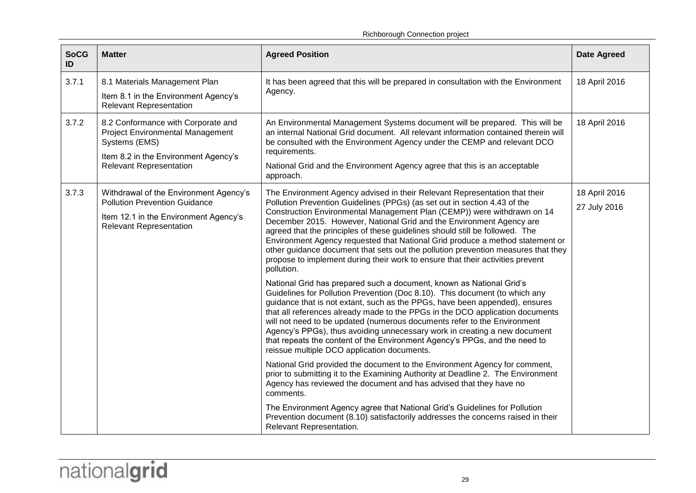Richborough Connection project

| <b>SoCG</b><br>ID | <b>Matter</b>                                                                                                                                                            | <b>Agreed Position</b>                                                                                                                                                                                                                                                                                                                                                                                                                                                                                                                                                                                                                                                                                                                                                                                                                                                                                                                                                                                                                                                                                                                                                                                                                                                                                                                                                                                                                                                                                                             | <b>Date Agreed</b>            |
|-------------------|--------------------------------------------------------------------------------------------------------------------------------------------------------------------------|------------------------------------------------------------------------------------------------------------------------------------------------------------------------------------------------------------------------------------------------------------------------------------------------------------------------------------------------------------------------------------------------------------------------------------------------------------------------------------------------------------------------------------------------------------------------------------------------------------------------------------------------------------------------------------------------------------------------------------------------------------------------------------------------------------------------------------------------------------------------------------------------------------------------------------------------------------------------------------------------------------------------------------------------------------------------------------------------------------------------------------------------------------------------------------------------------------------------------------------------------------------------------------------------------------------------------------------------------------------------------------------------------------------------------------------------------------------------------------------------------------------------------------|-------------------------------|
| 3.7.1             | 8.1 Materials Management Plan<br>Item 8.1 in the Environment Agency's<br><b>Relevant Representation</b>                                                                  | It has been agreed that this will be prepared in consultation with the Environment<br>Agency.                                                                                                                                                                                                                                                                                                                                                                                                                                                                                                                                                                                                                                                                                                                                                                                                                                                                                                                                                                                                                                                                                                                                                                                                                                                                                                                                                                                                                                      | 18 April 2016                 |
| 3.7.2             | 8.2 Conformance with Corporate and<br><b>Project Environmental Management</b><br>Systems (EMS)<br>Item 8.2 in the Environment Agency's<br><b>Relevant Representation</b> | An Environmental Management Systems document will be prepared. This will be<br>an internal National Grid document. All relevant information contained therein will<br>be consulted with the Environment Agency under the CEMP and relevant DCO<br>requirements.<br>National Grid and the Environment Agency agree that this is an acceptable<br>approach.                                                                                                                                                                                                                                                                                                                                                                                                                                                                                                                                                                                                                                                                                                                                                                                                                                                                                                                                                                                                                                                                                                                                                                          | 18 April 2016                 |
| 3.7.3             | Withdrawal of the Environment Agency's<br><b>Pollution Prevention Guidance</b><br>Item 12.1 in the Environment Agency's<br><b>Relevant Representation</b>                | The Environment Agency advised in their Relevant Representation that their<br>Pollution Prevention Guidelines (PPGs) (as set out in section 4.43 of the<br>Construction Environmental Management Plan (CEMP)) were withdrawn on 14<br>December 2015. However, National Grid and the Environment Agency are<br>agreed that the principles of these guidelines should still be followed. The<br>Environment Agency requested that National Grid produce a method statement or<br>other guidance document that sets out the pollution prevention measures that they<br>propose to implement during their work to ensure that their activities prevent<br>pollution.<br>National Grid has prepared such a document, known as National Grid's<br>Guidelines for Pollution Prevention (Doc 8.10). This document (to which any<br>guidance that is not extant, such as the PPGs, have been appended), ensures<br>that all references already made to the PPGs in the DCO application documents<br>will not need to be updated (numerous documents refer to the Environment<br>Agency's PPGs), thus avoiding unnecessary work in creating a new document<br>that repeats the content of the Environment Agency's PPGs, and the need to<br>reissue multiple DCO application documents.<br>National Grid provided the document to the Environment Agency for comment,<br>prior to submitting it to the Examining Authority at Deadline 2. The Environment<br>Agency has reviewed the document and has advised that they have no<br>comments. | 18 April 2016<br>27 July 2016 |
|                   |                                                                                                                                                                          | The Environment Agency agree that National Grid's Guidelines for Pollution<br>Prevention document (8.10) satisfactorily addresses the concerns raised in their<br>Relevant Representation.                                                                                                                                                                                                                                                                                                                                                                                                                                                                                                                                                                                                                                                                                                                                                                                                                                                                                                                                                                                                                                                                                                                                                                                                                                                                                                                                         |                               |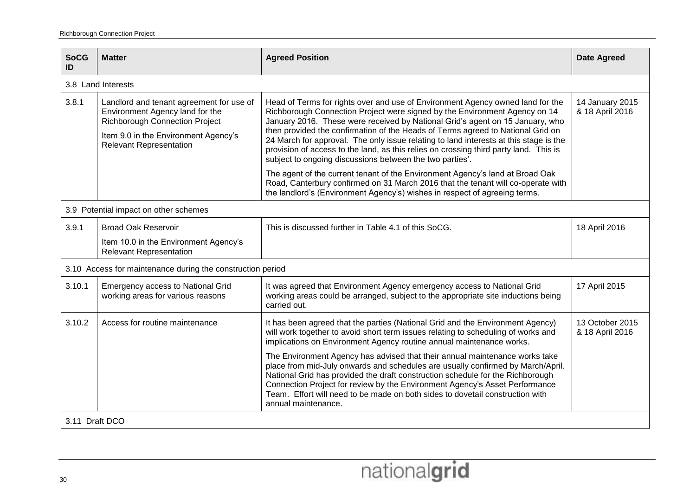| <b>SoCG</b><br>ID | <b>Matter</b>                                                                                                                                                                                  | <b>Agreed Position</b>                                                                                                                                                                                                                                                                                                                                                                                                                                                                                                                                                         | <b>Date Agreed</b>                 |
|-------------------|------------------------------------------------------------------------------------------------------------------------------------------------------------------------------------------------|--------------------------------------------------------------------------------------------------------------------------------------------------------------------------------------------------------------------------------------------------------------------------------------------------------------------------------------------------------------------------------------------------------------------------------------------------------------------------------------------------------------------------------------------------------------------------------|------------------------------------|
|                   | 3.8 Land Interests                                                                                                                                                                             |                                                                                                                                                                                                                                                                                                                                                                                                                                                                                                                                                                                |                                    |
| 3.8.1             | Landlord and tenant agreement for use of<br>Environment Agency land for the<br><b>Richborough Connection Project</b><br>Item 9.0 in the Environment Agency's<br><b>Relevant Representation</b> | Head of Terms for rights over and use of Environment Agency owned land for the<br>Richborough Connection Project were signed by the Environment Agency on 14<br>January 2016. These were received by National Grid's agent on 15 January, who<br>then provided the confirmation of the Heads of Terms agreed to National Grid on<br>24 March for approval. The only issue relating to land interests at this stage is the<br>provision of access to the land, as this relies on crossing third party land. This is<br>subject to ongoing discussions between the two parties'. | 14 January 2015<br>& 18 April 2016 |
|                   |                                                                                                                                                                                                | The agent of the current tenant of the Environment Agency's land at Broad Oak<br>Road, Canterbury confirmed on 31 March 2016 that the tenant will co-operate with<br>the landlord's (Environment Agency's) wishes in respect of agreeing terms.                                                                                                                                                                                                                                                                                                                                |                                    |
|                   | 3.9 Potential impact on other schemes                                                                                                                                                          |                                                                                                                                                                                                                                                                                                                                                                                                                                                                                                                                                                                |                                    |
| 3.9.1             | <b>Broad Oak Reservoir</b>                                                                                                                                                                     | This is discussed further in Table 4.1 of this SoCG.                                                                                                                                                                                                                                                                                                                                                                                                                                                                                                                           | 18 April 2016                      |
|                   | Item 10.0 in the Environment Agency's<br><b>Relevant Representation</b>                                                                                                                        |                                                                                                                                                                                                                                                                                                                                                                                                                                                                                                                                                                                |                                    |
|                   | 3.10 Access for maintenance during the construction period                                                                                                                                     |                                                                                                                                                                                                                                                                                                                                                                                                                                                                                                                                                                                |                                    |
| 3.10.1            | <b>Emergency access to National Grid</b><br>working areas for various reasons                                                                                                                  | It was agreed that Environment Agency emergency access to National Grid<br>working areas could be arranged, subject to the appropriate site inductions being<br>carried out.                                                                                                                                                                                                                                                                                                                                                                                                   | 17 April 2015                      |
| 3.10.2            | Access for routine maintenance                                                                                                                                                                 | It has been agreed that the parties (National Grid and the Environment Agency)<br>will work together to avoid short term issues relating to scheduling of works and<br>implications on Environment Agency routine annual maintenance works.                                                                                                                                                                                                                                                                                                                                    | 13 October 2015<br>& 18 April 2016 |
|                   |                                                                                                                                                                                                | The Environment Agency has advised that their annual maintenance works take<br>place from mid-July onwards and schedules are usually confirmed by March/April.<br>National Grid has provided the draft construction schedule for the Richborough<br>Connection Project for review by the Environment Agency's Asset Performance<br>Team. Effort will need to be made on both sides to dovetail construction with<br>annual maintenance.                                                                                                                                        |                                    |
| 3.11 Draft DCO    |                                                                                                                                                                                                |                                                                                                                                                                                                                                                                                                                                                                                                                                                                                                                                                                                |                                    |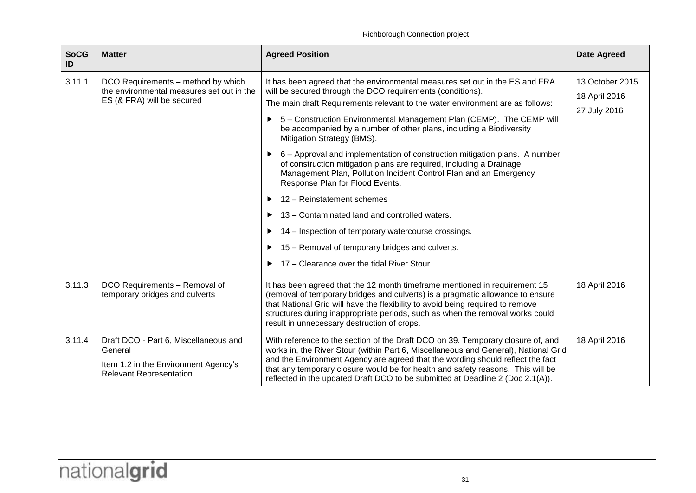| <b>SoCG</b><br>ID | <b>Matter</b>                                                                                                              | <b>Agreed Position</b>                                                                                                                                                                                                                                                                                                                                                                                                                                                                                                                                                                                                                                                                                                                                                                                                                                                                                            | <b>Date Agreed</b>                               |
|-------------------|----------------------------------------------------------------------------------------------------------------------------|-------------------------------------------------------------------------------------------------------------------------------------------------------------------------------------------------------------------------------------------------------------------------------------------------------------------------------------------------------------------------------------------------------------------------------------------------------------------------------------------------------------------------------------------------------------------------------------------------------------------------------------------------------------------------------------------------------------------------------------------------------------------------------------------------------------------------------------------------------------------------------------------------------------------|--------------------------------------------------|
| 3.11.1            | DCO Requirements - method by which<br>the environmental measures set out in the<br>ES (& FRA) will be secured              | It has been agreed that the environmental measures set out in the ES and FRA<br>will be secured through the DCO requirements (conditions).<br>The main draft Requirements relevant to the water environment are as follows:<br>5 - Construction Environmental Management Plan (CEMP). The CEMP will<br>be accompanied by a number of other plans, including a Biodiversity<br>Mitigation Strategy (BMS).<br>6 – Approval and implementation of construction mitigation plans. A number<br>▶<br>of construction mitigation plans are required, including a Drainage<br>Management Plan, Pollution Incident Control Plan and an Emergency<br>Response Plan for Flood Events.<br>12 - Reinstatement schemes<br>13 - Contaminated land and controlled waters.<br>14 – Inspection of temporary watercourse crossings.<br>15 – Removal of temporary bridges and culverts.<br>17 - Clearance over the tidal River Stour. | 13 October 2015<br>18 April 2016<br>27 July 2016 |
| 3.11.3            | DCO Requirements - Removal of<br>temporary bridges and culverts                                                            | It has been agreed that the 12 month timeframe mentioned in requirement 15<br>(removal of temporary bridges and culverts) is a pragmatic allowance to ensure<br>that National Grid will have the flexibility to avoid being required to remove<br>structures during inappropriate periods, such as when the removal works could<br>result in unnecessary destruction of crops.                                                                                                                                                                                                                                                                                                                                                                                                                                                                                                                                    | 18 April 2016                                    |
| 3.11.4            | Draft DCO - Part 6, Miscellaneous and<br>General<br>Item 1.2 in the Environment Agency's<br><b>Relevant Representation</b> | With reference to the section of the Draft DCO on 39. Temporary closure of, and<br>works in, the River Stour (within Part 6, Miscellaneous and General), National Grid<br>and the Environment Agency are agreed that the wording should reflect the fact<br>that any temporary closure would be for health and safety reasons. This will be<br>reflected in the updated Draft DCO to be submitted at Deadline 2 (Doc 2.1(A)).                                                                                                                                                                                                                                                                                                                                                                                                                                                                                     | 18 April 2016                                    |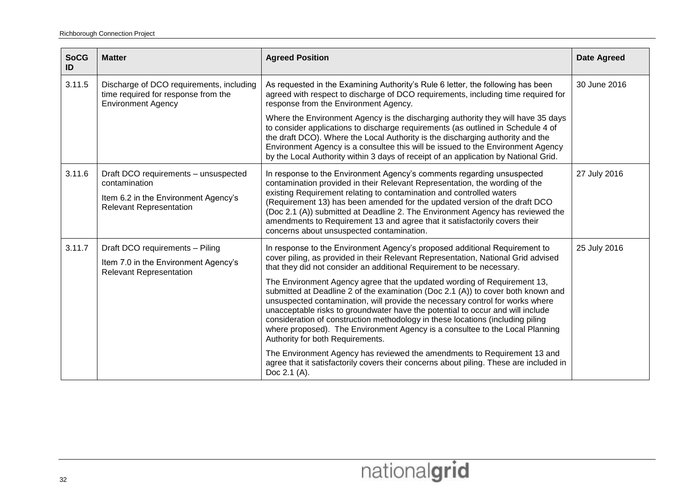| <b>SoCG</b><br>ID | <b>Matter</b>                                                                                                                   | <b>Agreed Position</b>                                                                                                                                                                                                                                                                                                                                                                                                                                                                                                                                                                                                                                                                                                                                                            | <b>Date Agreed</b> |
|-------------------|---------------------------------------------------------------------------------------------------------------------------------|-----------------------------------------------------------------------------------------------------------------------------------------------------------------------------------------------------------------------------------------------------------------------------------------------------------------------------------------------------------------------------------------------------------------------------------------------------------------------------------------------------------------------------------------------------------------------------------------------------------------------------------------------------------------------------------------------------------------------------------------------------------------------------------|--------------------|
| 3.11.5            | Discharge of DCO requirements, including<br>time required for response from the<br><b>Environment Agency</b>                    | As requested in the Examining Authority's Rule 6 letter, the following has been<br>agreed with respect to discharge of DCO requirements, including time required for<br>response from the Environment Agency.                                                                                                                                                                                                                                                                                                                                                                                                                                                                                                                                                                     | 30 June 2016       |
|                   |                                                                                                                                 | Where the Environment Agency is the discharging authority they will have 35 days<br>to consider applications to discharge requirements (as outlined in Schedule 4 of<br>the draft DCO). Where the Local Authority is the discharging authority and the<br>Environment Agency is a consultee this will be issued to the Environment Agency<br>by the Local Authority within 3 days of receipt of an application by National Grid.                                                                                                                                                                                                                                                                                                                                                  |                    |
| 3.11.6            | Draft DCO requirements - unsuspected<br>contamination<br>Item 6.2 in the Environment Agency's<br><b>Relevant Representation</b> | In response to the Environment Agency's comments regarding unsuspected<br>contamination provided in their Relevant Representation, the wording of the<br>existing Requirement relating to contamination and controlled waters<br>(Requirement 13) has been amended for the updated version of the draft DCO<br>(Doc 2.1 (A)) submitted at Deadline 2. The Environment Agency has reviewed the<br>amendments to Requirement 13 and agree that it satisfactorily covers their<br>concerns about unsuspected contamination.                                                                                                                                                                                                                                                          | 27 July 2016       |
| 3.11.7            | Draft DCO requirements - Piling<br>Item 7.0 in the Environment Agency's<br><b>Relevant Representation</b>                       | In response to the Environment Agency's proposed additional Requirement to<br>cover piling, as provided in their Relevant Representation, National Grid advised<br>that they did not consider an additional Requirement to be necessary.<br>The Environment Agency agree that the updated wording of Requirement 13,<br>submitted at Deadline 2 of the examination (Doc 2.1 (A)) to cover both known and<br>unsuspected contamination, will provide the necessary control for works where<br>unacceptable risks to groundwater have the potential to occur and will include<br>consideration of construction methodology in these locations (including piling<br>where proposed). The Environment Agency is a consultee to the Local Planning<br>Authority for both Requirements. | 25 July 2016       |
|                   |                                                                                                                                 | The Environment Agency has reviewed the amendments to Requirement 13 and<br>agree that it satisfactorily covers their concerns about piling. These are included in<br>Doc 2.1 (A).                                                                                                                                                                                                                                                                                                                                                                                                                                                                                                                                                                                                |                    |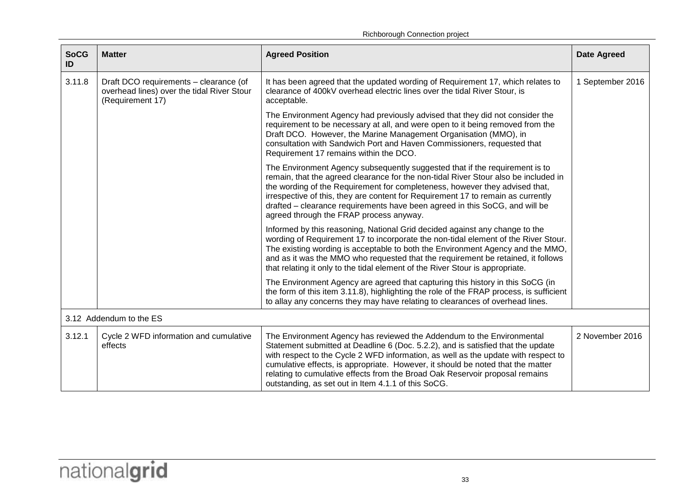|  | Richborough Connection project |
|--|--------------------------------|
|--|--------------------------------|

| <b>SoCG</b><br>ID       | <b>Matter</b>                                                                                            | <b>Agreed Position</b>                                                                                                                                                                                                                                                                                                                                                                                                                                                    | <b>Date Agreed</b> |
|-------------------------|----------------------------------------------------------------------------------------------------------|---------------------------------------------------------------------------------------------------------------------------------------------------------------------------------------------------------------------------------------------------------------------------------------------------------------------------------------------------------------------------------------------------------------------------------------------------------------------------|--------------------|
| 3.11.8                  | Draft DCO requirements - clearance (of<br>overhead lines) over the tidal River Stour<br>(Requirement 17) | It has been agreed that the updated wording of Requirement 17, which relates to<br>clearance of 400kV overhead electric lines over the tidal River Stour, is<br>acceptable.                                                                                                                                                                                                                                                                                               | 1 September 2016   |
|                         |                                                                                                          | The Environment Agency had previously advised that they did not consider the<br>requirement to be necessary at all, and were open to it being removed from the<br>Draft DCO. However, the Marine Management Organisation (MMO), in<br>consultation with Sandwich Port and Haven Commissioners, requested that<br>Requirement 17 remains within the DCO.                                                                                                                   |                    |
|                         |                                                                                                          | The Environment Agency subsequently suggested that if the requirement is to<br>remain, that the agreed clearance for the non-tidal River Stour also be included in<br>the wording of the Requirement for completeness, however they advised that,<br>irrespective of this, they are content for Requirement 17 to remain as currently<br>drafted – clearance requirements have been agreed in this SoCG, and will be<br>agreed through the FRAP process anyway.           |                    |
|                         |                                                                                                          | Informed by this reasoning, National Grid decided against any change to the<br>wording of Requirement 17 to incorporate the non-tidal element of the River Stour.<br>The existing wording is acceptable to both the Environment Agency and the MMO,<br>and as it was the MMO who requested that the requirement be retained, it follows<br>that relating it only to the tidal element of the River Stour is appropriate.                                                  |                    |
|                         |                                                                                                          | The Environment Agency are agreed that capturing this history in this SoCG (in<br>the form of this item 3.11.8), highlighting the role of the FRAP process, is sufficient<br>to allay any concerns they may have relating to clearances of overhead lines.                                                                                                                                                                                                                |                    |
| 3.12 Addendum to the ES |                                                                                                          |                                                                                                                                                                                                                                                                                                                                                                                                                                                                           |                    |
| 3.12.1                  | Cycle 2 WFD information and cumulative<br>effects                                                        | The Environment Agency has reviewed the Addendum to the Environmental<br>Statement submitted at Deadline 6 (Doc. 5.2.2), and is satisfied that the update<br>with respect to the Cycle 2 WFD information, as well as the update with respect to<br>cumulative effects, is appropriate. However, it should be noted that the matter<br>relating to cumulative effects from the Broad Oak Reservoir proposal remains<br>outstanding, as set out in Item 4.1.1 of this SoCG. | 2 November 2016    |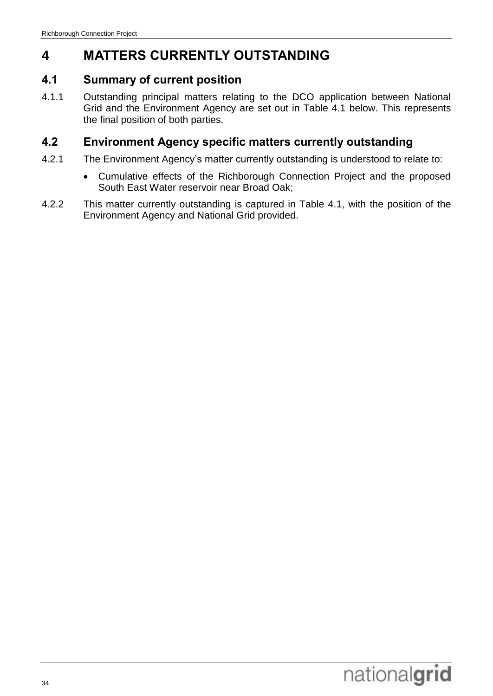# <span id="page-37-0"></span>**4 MATTERS CURRENTLY OUTSTANDING**

### <span id="page-37-1"></span>**4.1 Summary of current position**

4.1.1 Outstanding principal matters relating to the DCO application between National Grid and the Environment Agency are set out in Table 4.1 below. This represents the final position of both parties.

### <span id="page-37-2"></span>**4.2 Environment Agency specific matters currently outstanding**

- 4.2.1 The Environment Agency's matter currently outstanding is understood to relate to:
	- Cumulative effects of the Richborough Connection Project and the proposed South East Water reservoir near Broad Oak;
- 4.2.2 This matter currently outstanding is captured in Table 4.1, with the position of the Environment Agency and National Grid provided.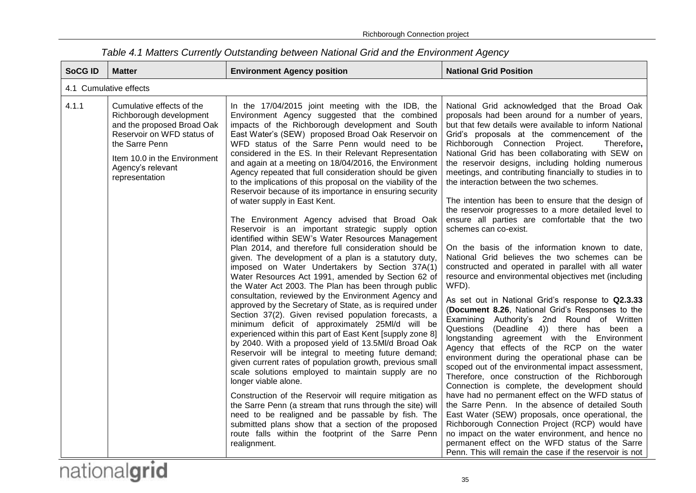| <b>SoCG ID</b>         | <b>Matter</b>                                                                                                                                                                                                                        | <b>Environment Agency position</b>                                                                                                                                                                                                                                                                                                                                                                                                                                                                                                                                                                                                                                                                                                                                                                                                                                                                                                                                                                                                                                                                                                                                                                                                                                                                                                                                                                                                                                                                                                                                                                                                                                                                                                                                                                                                                                                                                       | <b>National Grid Position</b>                                                                                                                                                                                                                                                                                                                                                                                                                                                                                                                                                                                                                                                                                                                                                                                                                                                                                                                                                                                                                                                                                                                                                                                                                                                                                                                                                                                                                                                                                                                                                                                                                                                                                                                                                                       |  |
|------------------------|--------------------------------------------------------------------------------------------------------------------------------------------------------------------------------------------------------------------------------------|--------------------------------------------------------------------------------------------------------------------------------------------------------------------------------------------------------------------------------------------------------------------------------------------------------------------------------------------------------------------------------------------------------------------------------------------------------------------------------------------------------------------------------------------------------------------------------------------------------------------------------------------------------------------------------------------------------------------------------------------------------------------------------------------------------------------------------------------------------------------------------------------------------------------------------------------------------------------------------------------------------------------------------------------------------------------------------------------------------------------------------------------------------------------------------------------------------------------------------------------------------------------------------------------------------------------------------------------------------------------------------------------------------------------------------------------------------------------------------------------------------------------------------------------------------------------------------------------------------------------------------------------------------------------------------------------------------------------------------------------------------------------------------------------------------------------------------------------------------------------------------------------------------------------------|-----------------------------------------------------------------------------------------------------------------------------------------------------------------------------------------------------------------------------------------------------------------------------------------------------------------------------------------------------------------------------------------------------------------------------------------------------------------------------------------------------------------------------------------------------------------------------------------------------------------------------------------------------------------------------------------------------------------------------------------------------------------------------------------------------------------------------------------------------------------------------------------------------------------------------------------------------------------------------------------------------------------------------------------------------------------------------------------------------------------------------------------------------------------------------------------------------------------------------------------------------------------------------------------------------------------------------------------------------------------------------------------------------------------------------------------------------------------------------------------------------------------------------------------------------------------------------------------------------------------------------------------------------------------------------------------------------------------------------------------------------------------------------------------------------|--|
| 4.1 Cumulative effects |                                                                                                                                                                                                                                      |                                                                                                                                                                                                                                                                                                                                                                                                                                                                                                                                                                                                                                                                                                                                                                                                                                                                                                                                                                                                                                                                                                                                                                                                                                                                                                                                                                                                                                                                                                                                                                                                                                                                                                                                                                                                                                                                                                                          |                                                                                                                                                                                                                                                                                                                                                                                                                                                                                                                                                                                                                                                                                                                                                                                                                                                                                                                                                                                                                                                                                                                                                                                                                                                                                                                                                                                                                                                                                                                                                                                                                                                                                                                                                                                                     |  |
| 4.1.1                  | Cumulative effects of the<br>Richborough development<br>and the proposed Broad Oak<br>Reservoir on WFD status of<br>the Sarre Penn<br>Item 10.0 in the Environment<br>Agency's relevant<br>representation<br>$^{\circ}$ .<br>$\cdot$ | In the 17/04/2015 joint meeting with the IDB, the<br>Environment Agency suggested that the combined<br>impacts of the Richborough development and South<br>East Water's (SEW) proposed Broad Oak Reservoir on<br>WFD status of the Sarre Penn would need to be<br>considered in the ES. In their Relevant Representation<br>and again at a meeting on 18/04/2016, the Environment<br>Agency repeated that full consideration should be given<br>to the implications of this proposal on the viability of the<br>Reservoir because of its importance in ensuring security<br>of water supply in East Kent.<br>The Environment Agency advised that Broad Oak<br>Reservoir is an important strategic supply option<br>identified within SEW's Water Resources Management<br>Plan 2014, and therefore full consideration should be<br>given. The development of a plan is a statutory duty,<br>imposed on Water Undertakers by Section 37A(1)<br>Water Resources Act 1991, amended by Section 62 of<br>the Water Act 2003. The Plan has been through public<br>consultation, reviewed by the Environment Agency and<br>approved by the Secretary of State, as is required under<br>Section 37(2). Given revised population forecasts, a<br>minimum deficit of approximately 25MI/d will be<br>experienced within this part of East Kent [supply zone 8]<br>by 2040. With a proposed yield of 13.5MI/d Broad Oak<br>Reservoir will be integral to meeting future demand;<br>given current rates of population growth, previous small<br>scale solutions employed to maintain supply are no<br>longer viable alone.<br>Construction of the Reservoir will require mitigation as<br>the Sarre Penn (a stream that runs through the site) will<br>need to be realigned and be passable by fish. The<br>submitted plans show that a section of the proposed<br>route falls within the footprint of the Sarre Penn<br>realignment. | National Grid acknowledged that the Broad Oak<br>proposals had been around for a number of years,<br>but that few details were available to inform National<br>Grid's proposals at the commencement of the<br>Richborough Connection Project.<br>Therefore,<br>National Grid has been collaborating with SEW on<br>the reservoir designs, including holding numerous<br>meetings, and contributing financially to studies in to<br>the interaction between the two schemes.<br>The intention has been to ensure that the design of<br>the reservoir progresses to a more detailed level to<br>ensure all parties are comfortable that the two<br>schemes can co-exist.<br>On the basis of the information known to date,<br>National Grid believes the two schemes can be<br>constructed and operated in parallel with all water<br>resource and environmental objectives met (including<br>WFD).<br>As set out in National Grid's response to Q2.3.33<br>(Document 8.26, National Grid's Responses to the<br>Examining Authority's 2nd Round of Written<br>Questions (Deadline 4)) there has been a<br>longstanding agreement with the Environment<br>Agency that effects of the RCP on the water<br>environment during the operational phase can be<br>scoped out of the environmental impact assessment,<br>Therefore, once construction of the Richborough<br>Connection is complete, the development should<br>have had no permanent effect on the WFD status of<br>the Sarre Penn. In the absence of detailed South<br>East Water (SEW) proposals, once operational, the<br>Richborough Connection Project (RCP) would have<br>no impact on the water environment, and hence no<br>permanent effect on the WFD status of the Sarre<br>Penn. This will remain the case if the reservoir is not |  |

*Table 4.1 Matters Currently Outstanding between National Grid and the Environment Agency*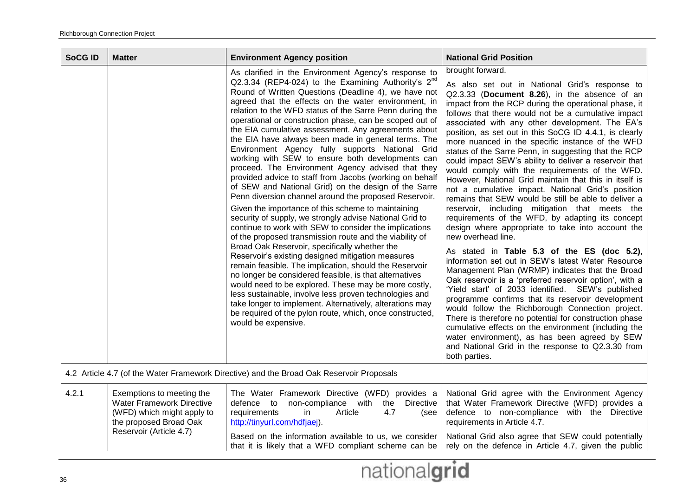| <b>SoCG ID</b>                                                                           | <b>Matter</b>                                                                                                                                    | <b>Environment Agency position</b>                                                                                                                                                                                                                                                                                                                                                                                                                                                                                                                                                                                                                                                                                                                                                                                                                                                                                                                                                                                                                                                                                                                                                                                                                                                                                                                                                                                                                                                                                                            | <b>National Grid Position</b>                                                                                                                                                                                                                                                                                                                                                                                                                                                                                                                                                                                                                                                                                                                                                                                                                                                                                                                                                                                                                                                                                                                                                                                                                                                                                                                                                                                                                                                                                                                             |
|------------------------------------------------------------------------------------------|--------------------------------------------------------------------------------------------------------------------------------------------------|-----------------------------------------------------------------------------------------------------------------------------------------------------------------------------------------------------------------------------------------------------------------------------------------------------------------------------------------------------------------------------------------------------------------------------------------------------------------------------------------------------------------------------------------------------------------------------------------------------------------------------------------------------------------------------------------------------------------------------------------------------------------------------------------------------------------------------------------------------------------------------------------------------------------------------------------------------------------------------------------------------------------------------------------------------------------------------------------------------------------------------------------------------------------------------------------------------------------------------------------------------------------------------------------------------------------------------------------------------------------------------------------------------------------------------------------------------------------------------------------------------------------------------------------------|-----------------------------------------------------------------------------------------------------------------------------------------------------------------------------------------------------------------------------------------------------------------------------------------------------------------------------------------------------------------------------------------------------------------------------------------------------------------------------------------------------------------------------------------------------------------------------------------------------------------------------------------------------------------------------------------------------------------------------------------------------------------------------------------------------------------------------------------------------------------------------------------------------------------------------------------------------------------------------------------------------------------------------------------------------------------------------------------------------------------------------------------------------------------------------------------------------------------------------------------------------------------------------------------------------------------------------------------------------------------------------------------------------------------------------------------------------------------------------------------------------------------------------------------------------------|
|                                                                                          |                                                                                                                                                  | As clarified in the Environment Agency's response to<br>Q2.3.34 (REP4-024) to the Examining Authority's $2^{nd}$<br>Round of Written Questions (Deadline 4), we have not<br>agreed that the effects on the water environment, in<br>relation to the WFD status of the Sarre Penn during the<br>operational or construction phase, can be scoped out of<br>the EIA cumulative assessment. Any agreements about<br>the EIA have always been made in general terms. The<br>Environment Agency fully supports National Grid<br>working with SEW to ensure both developments can<br>proceed. The Environment Agency advised that they<br>provided advice to staff from Jacobs (working on behalf<br>of SEW and National Grid) on the design of the Sarre<br>Penn diversion channel around the proposed Reservoir.<br>Given the importance of this scheme to maintaining<br>security of supply, we strongly advise National Grid to<br>continue to work with SEW to consider the implications<br>of the proposed transmission route and the viability of<br>Broad Oak Reservoir, specifically whether the<br>Reservoir's existing designed mitigation measures<br>remain feasible. The implication, should the Reservoir<br>no longer be considered feasible, is that alternatives<br>would need to be explored. These may be more costly,<br>less sustainable, involve less proven technologies and<br>take longer to implement. Alternatively, alterations may<br>be required of the pylon route, which, once constructed,<br>would be expensive. | brought forward.<br>As also set out in National Grid's response to<br>Q2.3.33 (Document 8.26), in the absence of an<br>impact from the RCP during the operational phase, it<br>follows that there would not be a cumulative impact<br>associated with any other development. The EA's<br>position, as set out in this SoCG ID 4.4.1, is clearly<br>more nuanced in the specific instance of the WFD<br>status of the Sarre Penn, in suggesting that the RCP<br>could impact SEW's ability to deliver a reservoir that<br>would comply with the requirements of the WFD.<br>However, National Grid maintain that this in itself is<br>not a cumulative impact. National Grid's position<br>remains that SEW would be still be able to deliver a<br>reservoir, including mitigation that meets the<br>requirements of the WFD, by adapting its concept<br>design where appropriate to take into account the<br>new overhead line.<br>As stated in Table 5.3 of the ES (doc 5.2),<br>information set out in SEW's latest Water Resource<br>Management Plan (WRMP) indicates that the Broad<br>Oak reservoir is a 'preferred reservoir option', with a<br>'Yield start' of 2033 identified. SEW's published<br>programme confirms that its reservoir development<br>would follow the Richborough Connection project.<br>There is therefore no potential for construction phase<br>cumulative effects on the environment (including the<br>water environment), as has been agreed by SEW<br>and National Grid in the response to Q2.3.30 from<br>both parties. |
| 4.2 Article 4.7 (of the Water Framework Directive) and the Broad Oak Reservoir Proposals |                                                                                                                                                  |                                                                                                                                                                                                                                                                                                                                                                                                                                                                                                                                                                                                                                                                                                                                                                                                                                                                                                                                                                                                                                                                                                                                                                                                                                                                                                                                                                                                                                                                                                                                               |                                                                                                                                                                                                                                                                                                                                                                                                                                                                                                                                                                                                                                                                                                                                                                                                                                                                                                                                                                                                                                                                                                                                                                                                                                                                                                                                                                                                                                                                                                                                                           |
| 4.2.1                                                                                    | Exemptions to meeting the<br><b>Water Framework Directive</b><br>(WFD) which might apply to<br>the proposed Broad Oak<br>Reservoir (Article 4.7) | The Water Framework Directive (WFD) provides a<br>defence to non-compliance with<br>the Directive<br>requirements<br>in<br>Article<br>4.7<br>(see<br>http://tinyurl.com/hdfjaej).                                                                                                                                                                                                                                                                                                                                                                                                                                                                                                                                                                                                                                                                                                                                                                                                                                                                                                                                                                                                                                                                                                                                                                                                                                                                                                                                                             | National Grid agree with the Environment Agency<br>that Water Framework Directive (WFD) provides a<br>defence to non-compliance with the Directive<br>requirements in Article 4.7.                                                                                                                                                                                                                                                                                                                                                                                                                                                                                                                                                                                                                                                                                                                                                                                                                                                                                                                                                                                                                                                                                                                                                                                                                                                                                                                                                                        |
|                                                                                          |                                                                                                                                                  | Based on the information available to us, we consider<br>that it is likely that a WFD compliant scheme can be                                                                                                                                                                                                                                                                                                                                                                                                                                                                                                                                                                                                                                                                                                                                                                                                                                                                                                                                                                                                                                                                                                                                                                                                                                                                                                                                                                                                                                 | National Grid also agree that SEW could potentially<br>rely on the defence in Article 4.7, given the public                                                                                                                                                                                                                                                                                                                                                                                                                                                                                                                                                                                                                                                                                                                                                                                                                                                                                                                                                                                                                                                                                                                                                                                                                                                                                                                                                                                                                                               |

nationalgrid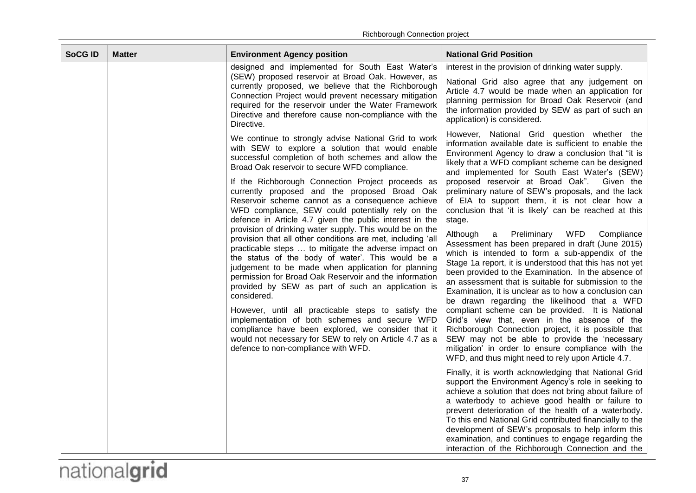| <b>SoCG ID</b> | <b>Matter</b> | <b>Environment Agency position</b>                                                                                                                                                                                                                                                                                                                                                                                                                                                                                                                                                                                                                                                                                                                                                                         | <b>National Grid Position</b>                                                                                                                                                                                                                                                                                                                                                                                                                                                                                                                                                                                                                                                                                                                                              |
|----------------|---------------|------------------------------------------------------------------------------------------------------------------------------------------------------------------------------------------------------------------------------------------------------------------------------------------------------------------------------------------------------------------------------------------------------------------------------------------------------------------------------------------------------------------------------------------------------------------------------------------------------------------------------------------------------------------------------------------------------------------------------------------------------------------------------------------------------------|----------------------------------------------------------------------------------------------------------------------------------------------------------------------------------------------------------------------------------------------------------------------------------------------------------------------------------------------------------------------------------------------------------------------------------------------------------------------------------------------------------------------------------------------------------------------------------------------------------------------------------------------------------------------------------------------------------------------------------------------------------------------------|
|                |               | designed and implemented for South East Water's<br>(SEW) proposed reservoir at Broad Oak. However, as<br>currently proposed, we believe that the Richborough<br>Connection Project would prevent necessary mitigation<br>required for the reservoir under the Water Framework<br>Directive and therefore cause non-compliance with the<br>Directive.                                                                                                                                                                                                                                                                                                                                                                                                                                                       | interest in the provision of drinking water supply.<br>National Grid also agree that any judgement on<br>Article 4.7 would be made when an application for<br>planning permission for Broad Oak Reservoir (and<br>the information provided by SEW as part of such an<br>application) is considered.                                                                                                                                                                                                                                                                                                                                                                                                                                                                        |
|                |               | We continue to strongly advise National Grid to work<br>with SEW to explore a solution that would enable<br>successful completion of both schemes and allow the<br>Broad Oak reservoir to secure WFD compliance.                                                                                                                                                                                                                                                                                                                                                                                                                                                                                                                                                                                           | However, National Grid question whether the<br>information available date is sufficient to enable the<br>Environment Agency to draw a conclusion that "it is<br>likely that a WFD compliant scheme can be designed<br>and implemented for South East Water's (SEW)                                                                                                                                                                                                                                                                                                                                                                                                                                                                                                         |
|                |               | If the Richborough Connection Project proceeds as<br>currently proposed and the proposed Broad Oak<br>Reservoir scheme cannot as a consequence achieve<br>WFD compliance, SEW could potentially rely on the<br>defence in Article 4.7 given the public interest in the<br>provision of drinking water supply. This would be on the<br>provision that all other conditions are met, including 'all<br>practicable steps  to mitigate the adverse impact on<br>the status of the body of water'. This would be a<br>judgement to be made when application for planning<br>permission for Broad Oak Reservoir and the information<br>provided by SEW as part of such an application is<br>considered.<br>However, until all practicable steps to satisfy the<br>implementation of both schemes and secure WFD | proposed reservoir at Broad Oak". Given the<br>preliminary nature of SEW's proposals, and the lack<br>of EIA to support them, it is not clear how a<br>conclusion that 'it is likely' can be reached at this<br>stage.<br>Preliminary<br>WFD<br>Although<br>Compliance<br>a<br>Assessment has been prepared in draft (June 2015)<br>which is intended to form a sub-appendix of the<br>Stage 1a report, it is understood that this has not yet<br>been provided to the Examination. In the absence of<br>an assessment that is suitable for submission to the<br>Examination, it is unclear as to how a conclusion can<br>be drawn regarding the likelihood that a WFD<br>compliant scheme can be provided. It is National<br>Grid's view that, even in the absence of the |
|                |               | compliance have been explored, we consider that it<br>would not necessary for SEW to rely on Article 4.7 as a<br>defence to non-compliance with WFD.                                                                                                                                                                                                                                                                                                                                                                                                                                                                                                                                                                                                                                                       | Richborough Connection project, it is possible that<br>SEW may not be able to provide the 'necessary<br>mitigation' in order to ensure compliance with the<br>WFD, and thus might need to rely upon Article 4.7.                                                                                                                                                                                                                                                                                                                                                                                                                                                                                                                                                           |
|                |               |                                                                                                                                                                                                                                                                                                                                                                                                                                                                                                                                                                                                                                                                                                                                                                                                            | Finally, it is worth acknowledging that National Grid<br>support the Environment Agency's role in seeking to<br>achieve a solution that does not bring about failure of<br>a waterbody to achieve good health or failure to<br>prevent deterioration of the health of a waterbody.<br>To this end National Grid contributed financially to the<br>development of SEW's proposals to help inform this<br>examination, and continues to engage regarding the<br>interaction of the Richborough Connection and the                                                                                                                                                                                                                                                            |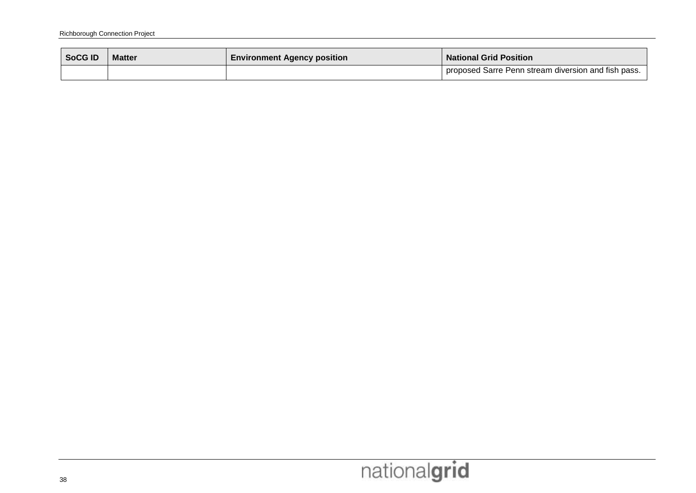| <b>SoCG ID</b> | <b>Matter</b> | <b>Environment Agency position</b> | <b>National Grid Position</b>                         |  |
|----------------|---------------|------------------------------------|-------------------------------------------------------|--|
|                |               |                                    | I proposed Sarre Penn stream diversion and fish pass. |  |